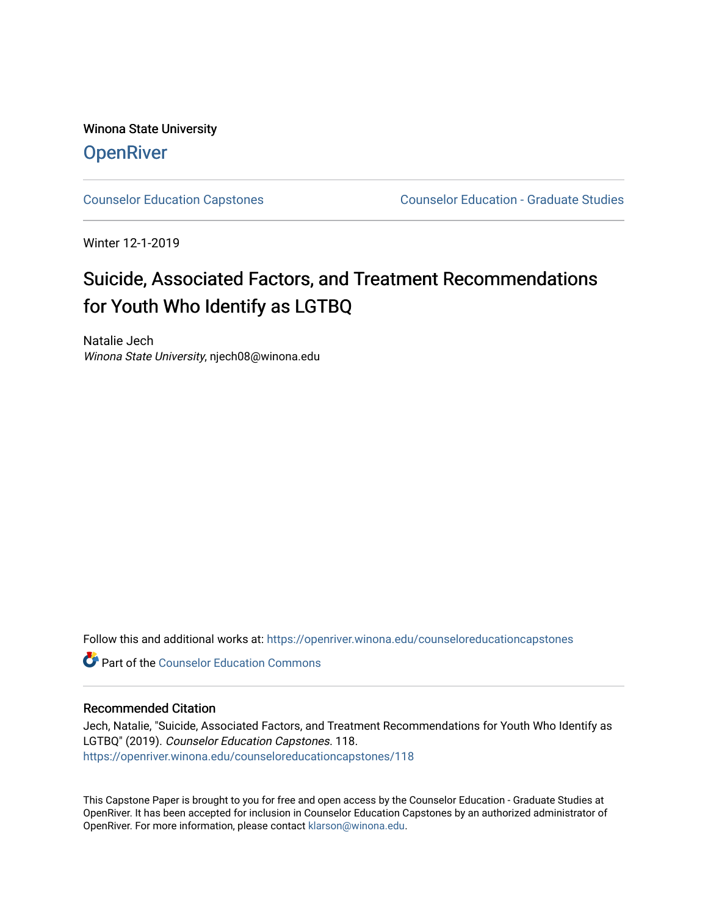Winona State University **OpenRiver** 

[Counselor Education Capstones](https://openriver.winona.edu/counseloreducationcapstones) [Counselor Education - Graduate Studies](https://openriver.winona.edu/counseloreducation) 

Winter 12-1-2019

# Suicide, Associated Factors, and Treatment Recommendations for Youth Who Identify as LGTBQ

Natalie Jech Winona State University, njech08@winona.edu

Follow this and additional works at: [https://openriver.winona.edu/counseloreducationcapstones](https://openriver.winona.edu/counseloreducationcapstones?utm_source=openriver.winona.edu%2Fcounseloreducationcapstones%2F118&utm_medium=PDF&utm_campaign=PDFCoverPages)

**C** Part of the Counselor Education Commons

#### Recommended Citation

Jech, Natalie, "Suicide, Associated Factors, and Treatment Recommendations for Youth Who Identify as LGTBQ" (2019). Counselor Education Capstones. 118. [https://openriver.winona.edu/counseloreducationcapstones/118](https://openriver.winona.edu/counseloreducationcapstones/118?utm_source=openriver.winona.edu%2Fcounseloreducationcapstones%2F118&utm_medium=PDF&utm_campaign=PDFCoverPages)

This Capstone Paper is brought to you for free and open access by the Counselor Education - Graduate Studies at OpenRiver. It has been accepted for inclusion in Counselor Education Capstones by an authorized administrator of OpenRiver. For more information, please contact [klarson@winona.edu](mailto:klarson@winona.edu).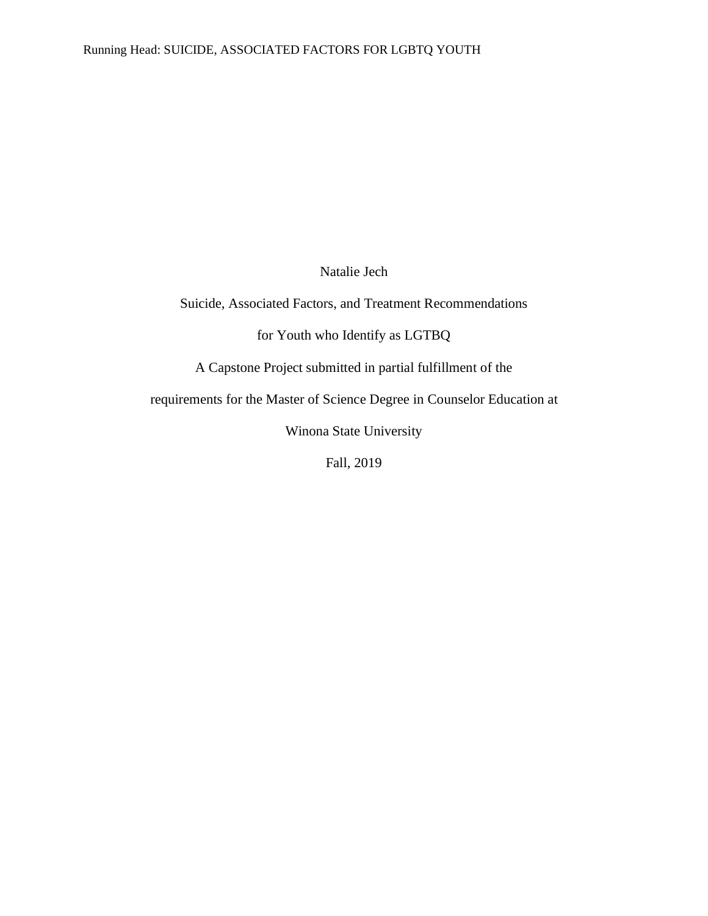Natalie Jech

Suicide, Associated Factors, and Treatment Recommendations

for Youth who Identify as LGTBQ

A Capstone Project submitted in partial fulfillment of the

requirements for the Master of Science Degree in Counselor Education at

Winona State University

Fall, 2019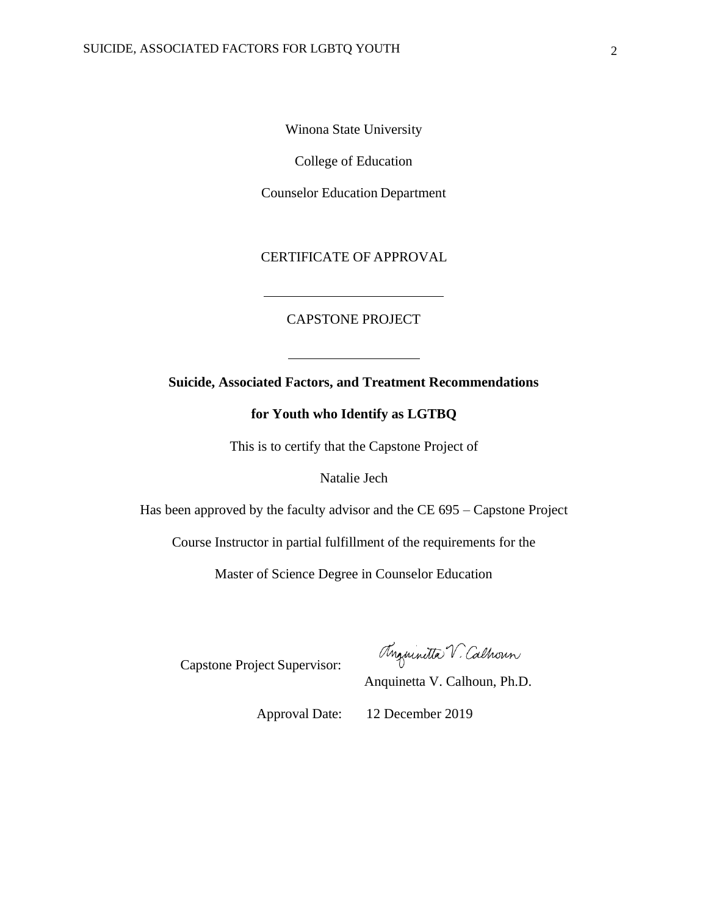Winona State University

College of Education

Counselor Education Department

CERTIFICATE OF APPROVAL

#### CAPSTONE PROJECT

### **Suicide, Associated Factors, and Treatment Recommendations**

### **for Youth who Identify as LGTBQ**

This is to certify that the Capstone Project of

Natalie Jech

Has been approved by the faculty advisor and the CE 695 – Capstone Project

Course Instructor in partial fulfillment of the requirements for the

Master of Science Degree in Counselor Education

Capstone Project Supervisor:

Anguinitta V. Calhoun

Anquinetta V. Calhoun, Ph.D.

Approval Date: 12 December 2019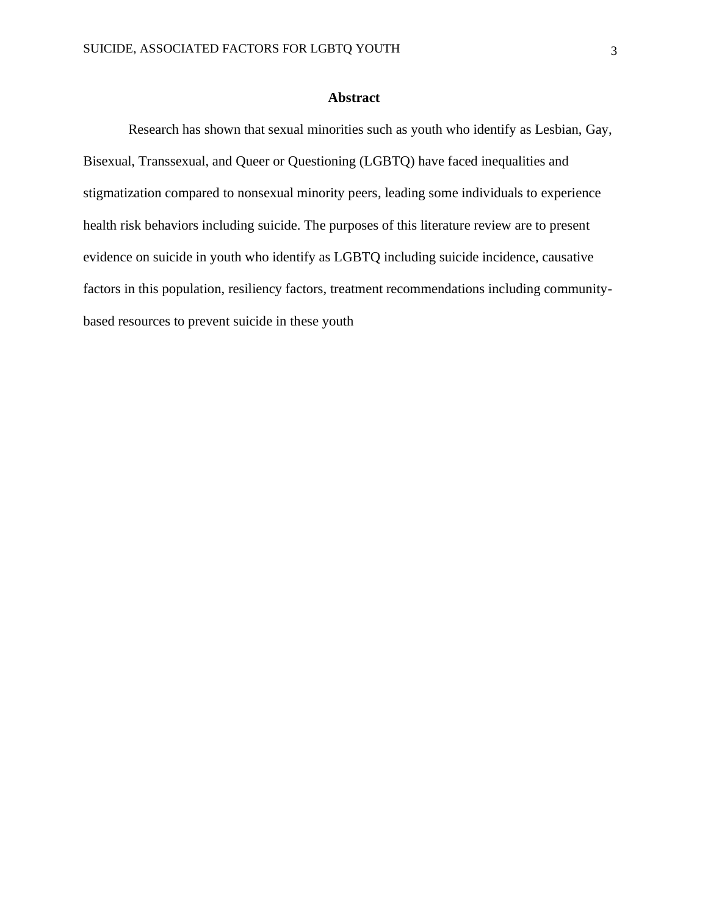#### **Abstract**

Research has shown that sexual minorities such as youth who identify as Lesbian, Gay, Bisexual, Transsexual, and Queer or Questioning (LGBTQ) have faced inequalities and stigmatization compared to nonsexual minority peers, leading some individuals to experience health risk behaviors including suicide. The purposes of this literature review are to present evidence on suicide in youth who identify as LGBTQ including suicide incidence, causative factors in this population, resiliency factors, treatment recommendations including communitybased resources to prevent suicide in these youth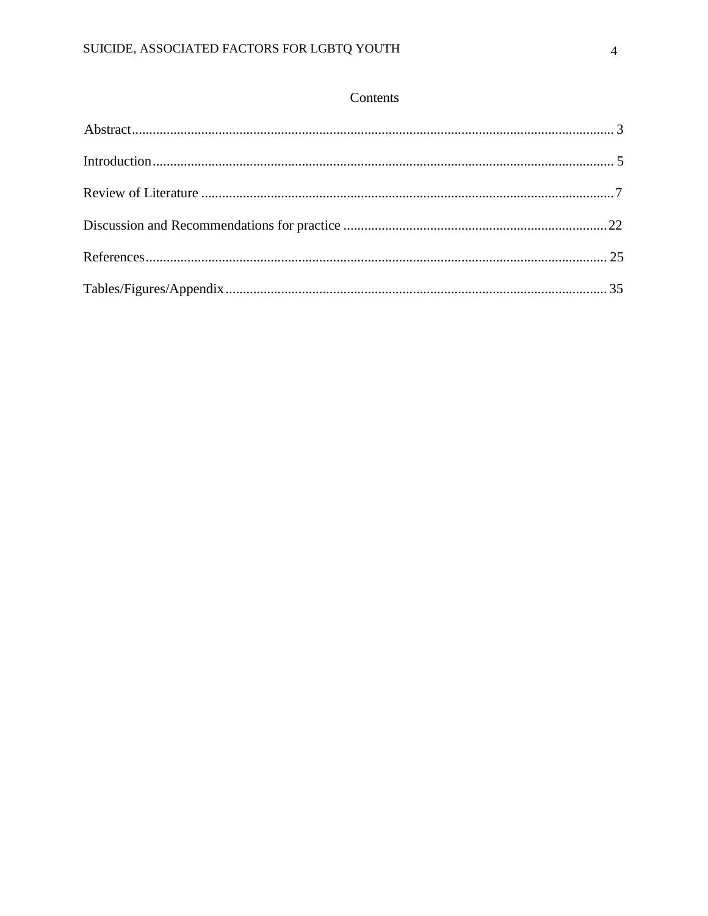## Contents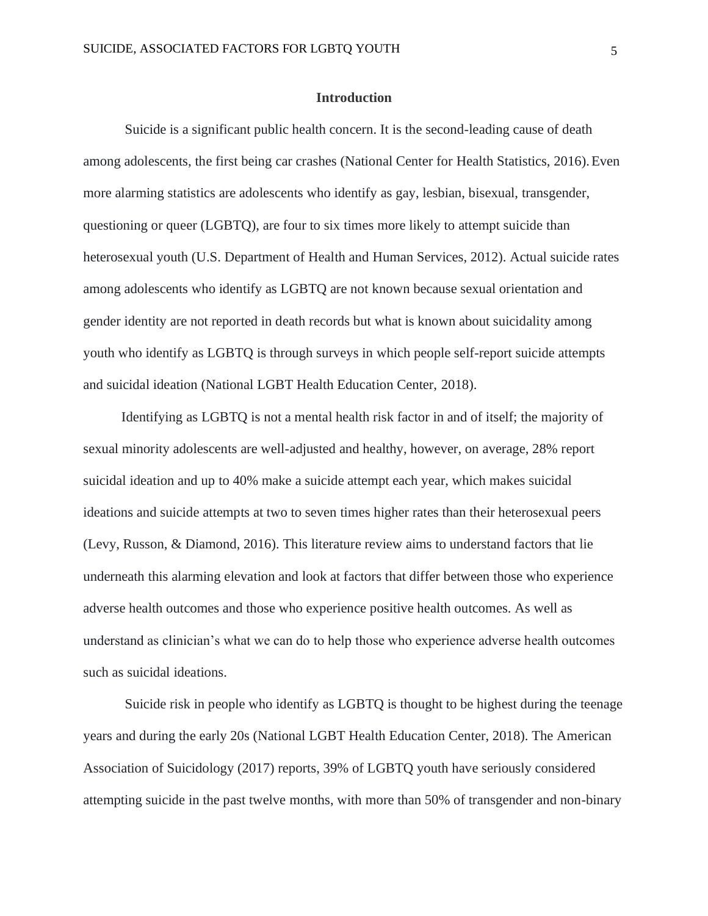#### **Introduction**

<span id="page-5-0"></span>Suicide is a significant public health concern. It is the second-leading cause of death among adolescents, the first being car crashes (National Center for Health Statistics, 2016).Even more alarming statistics are adolescents who identify as gay, lesbian, bisexual, transgender, questioning or queer (LGBTQ), are four to six times more likely to attempt suicide than heterosexual youth (U.S. Department of Health and Human Services, 2012). Actual suicide rates among adolescents who identify as LGBTQ are not known because sexual orientation and gender identity are not reported in death records but what is known about suicidality among youth who identify as LGBTQ is through surveys in which people self-report suicide attempts and suicidal ideation (National LGBT Health Education Center, 2018).

Identifying as LGBTQ is not a mental health risk factor in and of itself; the majority of sexual minority adolescents are well-adjusted and healthy, however, on average, 28% report suicidal ideation and up to 40% make a suicide attempt each year, which makes suicidal ideations and suicide attempts at two to seven times higher rates than their heterosexual peers (Levy, Russon, & Diamond, 2016). This literature review aims to understand factors that lie underneath this alarming elevation and look at factors that differ between those who experience adverse health outcomes and those who experience positive health outcomes. As well as understand as clinician's what we can do to help those who experience adverse health outcomes such as suicidal ideations.

Suicide risk in people who identify as LGBTQ is thought to be highest during the teenage years and during the early 20s (National LGBT Health Education Center, 2018). The American Association of Suicidology (2017) reports, 39% of LGBTQ youth have seriously considered attempting suicide in the past twelve months, with more than 50% of transgender and non-binary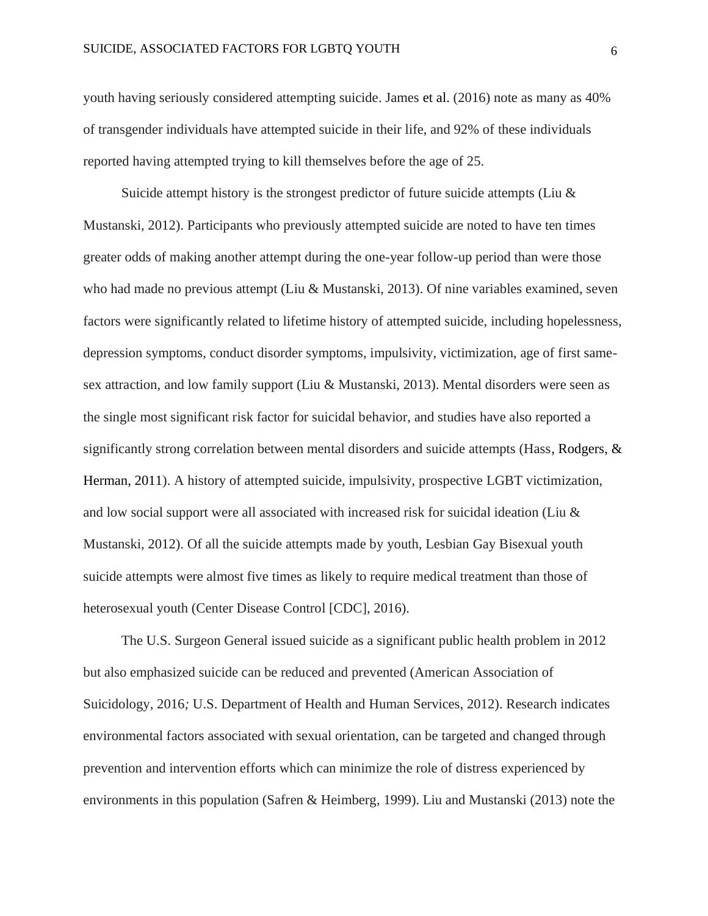youth having seriously considered attempting suicide. James et al. (2016) note as many as 40% of transgender individuals have attempted suicide in their life, and 92% of these individuals reported having attempted trying to kill themselves before the age of 25.

Suicide attempt history is the strongest predictor of future suicide attempts (Liu  $\&$ Mustanski, 2012). Participants who previously attempted suicide are noted to have ten times greater odds of making another attempt during the one-year follow-up period than were those who had made no previous attempt (Liu & Mustanski, 2013). Of nine variables examined, seven factors were significantly related to lifetime history of attempted suicide, including hopelessness, depression symptoms, conduct disorder symptoms, impulsivity, victimization, age of first samesex attraction, and low family support (Liu & Mustanski, 2013). Mental disorders were seen as the single most significant risk factor for suicidal behavior, and studies have also reported a significantly strong correlation between mental disorders and suicide attempts (Hass, Rodgers, & Herman, 2011). A history of attempted suicide, impulsivity, prospective LGBT victimization, and low social support were all associated with increased risk for suicidal ideation (Liu & Mustanski, 2012). Of all the suicide attempts made by youth, Lesbian Gay Bisexual youth suicide attempts were almost five times as likely to require medical treatment than those of heterosexual youth (Center Disease Control [CDC], 2016).

The U.S. Surgeon General issued suicide as a significant public health problem in 2012 but also emphasized suicide can be reduced and prevented (American Association of Suicidology, 2016*;* U.S. Department of Health and Human Services, 2012). Research indicates environmental factors associated with sexual orientation, can be targeted and changed through prevention and intervention efforts which can minimize the role of distress experienced by environments in this population (Safren & Heimberg, 1999). Liu and Mustanski (2013) note the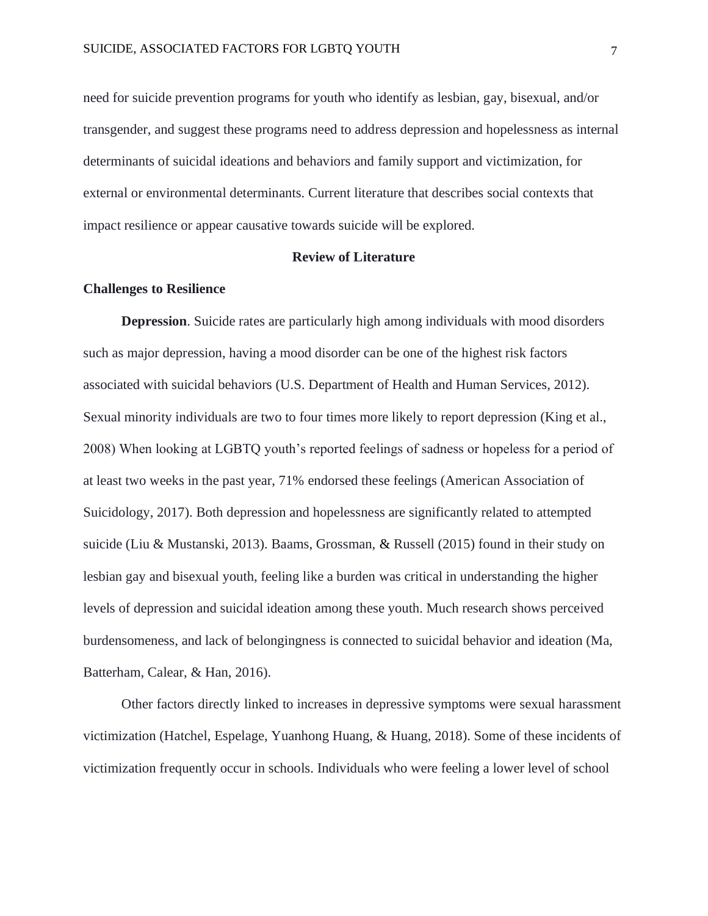need for suicide prevention programs for youth who identify as lesbian, gay, bisexual, and/or transgender, and suggest these programs need to address depression and hopelessness as internal determinants of suicidal ideations and behaviors and family support and victimization, for external or environmental determinants. Current literature that describes social contexts that impact resilience or appear causative towards suicide will be explored.

#### **Review of Literature**

#### <span id="page-7-0"></span>**Challenges to Resilience**

**Depression**. Suicide rates are particularly high among individuals with mood disorders such as major depression, having a mood disorder can be one of the highest risk factors associated with suicidal behaviors (U.S. Department of Health and Human Services, 2012). Sexual minority individuals are two to four times more likely to report depression (King et al., 2008) When looking at LGBTQ youth's reported feelings of sadness or hopeless for a period of at least two weeks in the past year, 71% endorsed these feelings (American Association of Suicidology, 2017). Both depression and hopelessness are significantly related to attempted suicide (Liu & Mustanski, 2013). Baams, Grossman, & Russell (2015) found in their study on lesbian gay and bisexual youth, feeling like a burden was critical in understanding the higher levels of depression and suicidal ideation among these youth. Much research shows perceived burdensomeness, and lack of belongingness is connected to suicidal behavior and ideation (Ma, Batterham, Calear, & Han, 2016).

Other factors directly linked to increases in depressive symptoms were sexual harassment victimization (Hatchel, Espelage, Yuanhong Huang, & Huang, 2018). Some of these incidents of victimization frequently occur in schools. Individuals who were feeling a lower level of school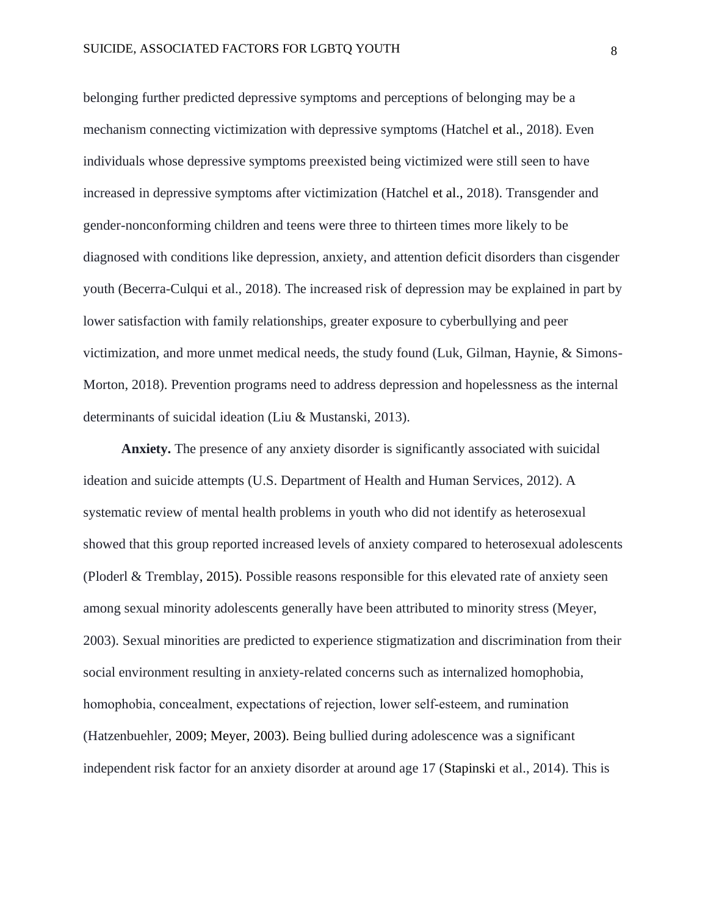belonging further predicted depressive symptoms and perceptions of belonging may be a mechanism connecting victimization with depressive symptoms (Hatchel et al., 2018). Even individuals whose depressive symptoms preexisted being victimized were still seen to have increased in depressive symptoms after victimization (Hatchel et al., 2018). Transgender and gender-nonconforming children and teens were three to thirteen times more likely to be diagnosed with conditions like depression, anxiety, and attention deficit disorders than cisgender youth (Becerra-Culqui et al., 2018). The increased risk of depression may be explained in part by lower satisfaction with family relationships, greater exposure to cyberbullying and peer victimization, and more unmet medical needs, the study found (Luk, Gilman, Haynie, & Simons-Morton, 2018). Prevention programs need to address depression and hopelessness as the internal determinants of suicidal ideation (Liu & Mustanski, 2013).

**Anxiety.** The presence of any anxiety disorder is significantly associated with suicidal ideation and suicide attempts (U.S. Department of Health and Human Services, 2012). A systematic review of mental health problems in youth who did not identify as heterosexual showed that this group reported increased levels of anxiety compared to heterosexual adolescents (Ploderl & Trembla[y, 2015\)](https://onlinelibrary.wiley.com/doi/full/10.1111/jcpp.12757#jcpp12757-bib-0034). Possible reasons responsible for this elevated rate of anxiety seen among sexual minority adolescents generally have been attributed to minority stress (Meyer, 2003). Sexual minorities are predicted to experience stigmatization and discrimination from their social environment resulting in anxiety-related concerns such as internalized homophobia, homophobia, concealment, expectations of rejection, lower self-esteem, and rumination (Hatzenbuehler, [2009;](https://onlinelibrary.wiley.com/doi/full/10.1111/jcpp.12757#jcpp12757-bib-0017) Meyer, [2003\)](https://onlinelibrary.wiley.com/doi/full/10.1111/jcpp.12757#jcpp12757-bib-0027). Being bullied during adolescence was a significant independent risk factor for an anxiety disorder at around age 17 (Stapinski et al., 2014). This is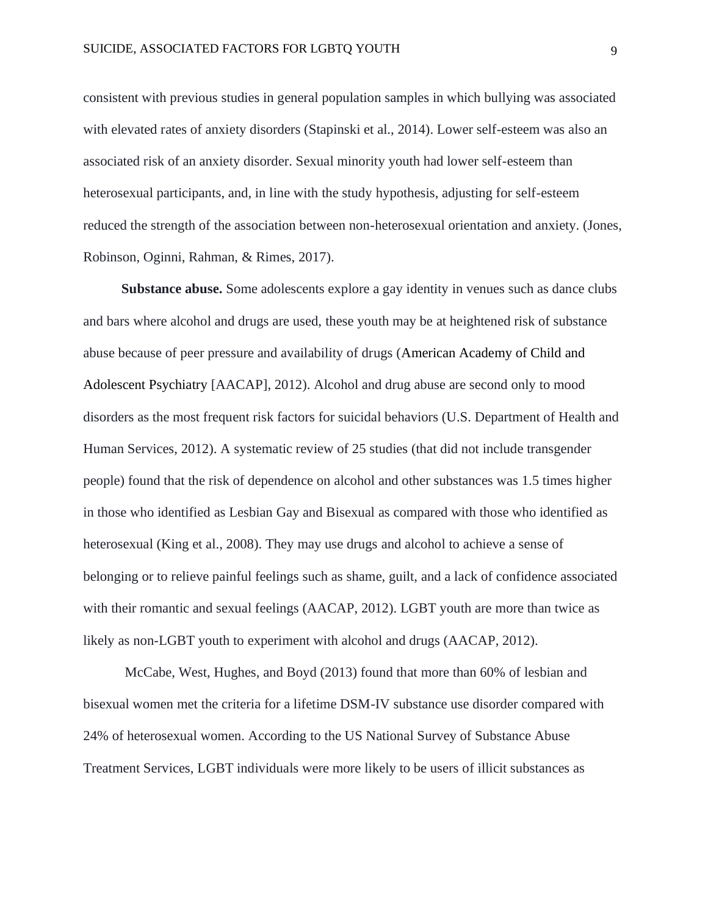consistent with previous studies in general population samples in which bullying was associated with elevated rates of anxiety disorders (Stapinski et al., 2014). Lower self-esteem was also an associated risk of an anxiety disorder. Sexual minority youth had lower self-esteem than heterosexual participants, and, in line with the study hypothesis, adjusting for self-esteem reduced the strength of the association between non-heterosexual orientation and anxiety. (Jones, Robinson, Oginni, Rahman, & Rimes, 2017).

**Substance abuse.** Some adolescents explore a gay identity in venues such as dance clubs and bars where alcohol and drugs are used, these youth may be at heightened risk of substance abuse because of peer pressure and availability of drugs (American Academy of Child and Adolescent Psychiatry [AACAP], 2012). Alcohol and drug abuse are second only to mood disorders as the most frequent risk factors for suicidal behaviors (U.S. Department of Health and Human Services, 2012). A systematic review of 25 studies (that did not include transgender people) found that the risk of dependence on alcohol and other substances was 1.5 times higher in those who identified as Lesbian Gay and Bisexual as compared with those who identified as heterosexual (King et al., 2008). They may use drugs and alcohol to achieve a sense of belonging or to relieve painful feelings such as shame, guilt, and a lack of confidence associated with their romantic and sexual feelings (AACAP, 2012). LGBT youth are more than twice as likely as non-LGBT youth to experiment with alcohol and drugs (AACAP, 2012).

McCabe, West, Hughes, and Boyd (2013) found that more than 60% of lesbian and bisexual women met the criteria for a lifetime DSM-IV substance use disorder compared with 24% of heterosexual women. According to the US National Survey of Substance Abuse Treatment Services, LGBT individuals were more likely to be users of illicit substances as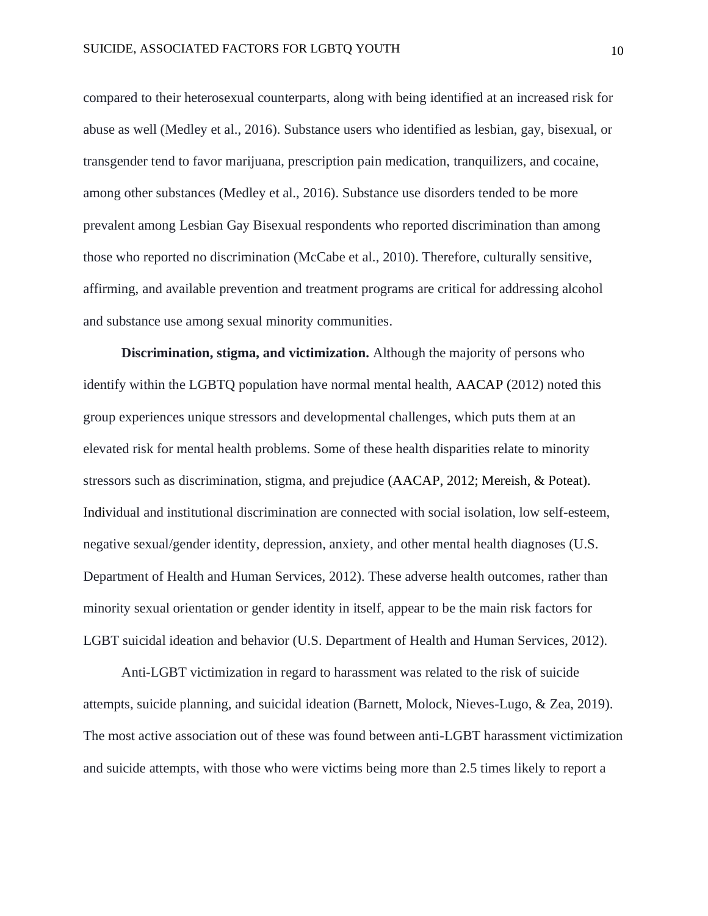compared to their heterosexual counterparts, along with being identified at an increased risk for abuse as well (Medley et al., 2016). Substance users who identified as lesbian, gay, bisexual, or transgender tend to favor marijuana, prescription pain medication, tranquilizers, and cocaine, among other substances (Medley et al., 2016). Substance use disorders tended to be more prevalent among Lesbian Gay Bisexual respondents who reported discrimination than among those who reported no discrimination (McCabe et al., 2010). Therefore, culturally sensitive, affirming, and available prevention and treatment programs are critical for addressing alcohol and substance use among sexual minority communities.

**Discrimination, stigma, and victimization.** Although the majority of persons who identify within the LGBTQ population have normal mental health, AACAP (2012) noted this group experiences unique stressors and developmental challenges, which puts them at an elevated risk for mental health problems. Some of these health disparities relate to minority stressors such as discrimination, stigma, and prejudice (AACAP, 2012; Mereish, & Poteat). Individual and institutional discrimination are connected with social isolation, low self-esteem, negative sexual/gender identity, depression, anxiety, and other mental health diagnoses (U.S. Department of Health and Human Services, 2012). These adverse health outcomes, rather than minority sexual orientation or gender identity in itself, appear to be the main risk factors for LGBT suicidal ideation and behavior (U.S. Department of Health and Human Services, 2012).

Anti-LGBT victimization in regard to harassment was related to the risk of suicide attempts, suicide planning, and suicidal ideation (Barnett, Molock, Nieves-Lugo, & Zea, 2019). The most active association out of these was found between anti-LGBT harassment victimization and suicide attempts, with those who were victims being more than 2.5 times likely to report a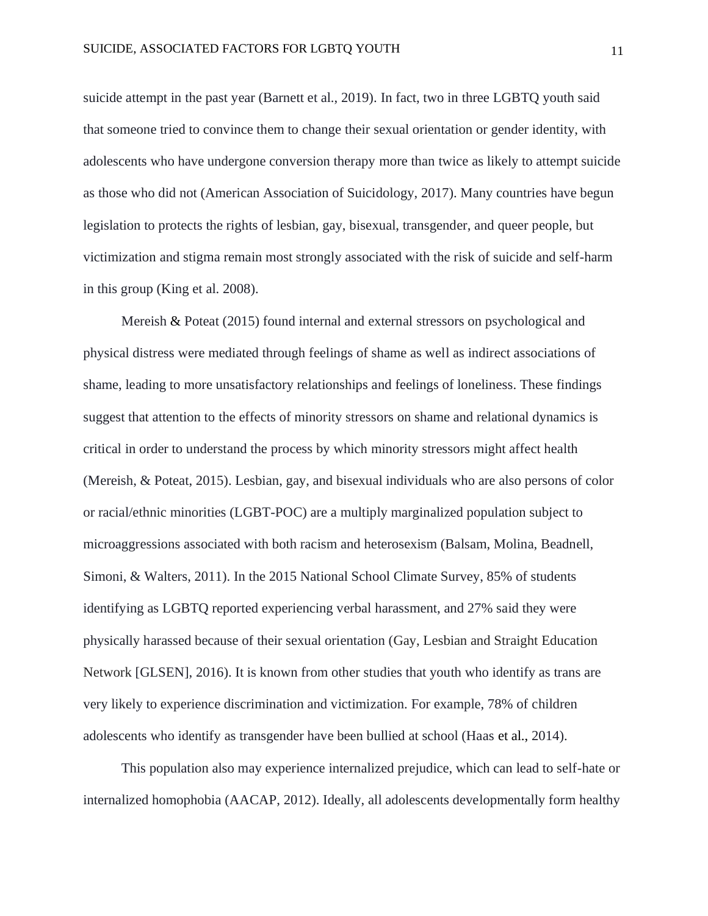suicide attempt in the past year (Barnett et al., 2019). In fact, two in three LGBTQ youth said that someone tried to convince them to change their sexual orientation or gender identity, with adolescents who have undergone conversion therapy more than twice as likely to attempt suicide as those who did not (American Association of Suicidology, 2017). Many countries have begun legislation to protects the rights of lesbian, gay, bisexual, transgender, and queer people, but victimization and stigma remain most strongly associated with the risk of suicide and self-harm in this group (King et al. 2008).

Mereish & Poteat (2015) found internal and external stressors on psychological and physical distress were mediated through feelings of shame as well as indirect associations of shame, leading to more unsatisfactory relationships and feelings of loneliness. These findings suggest that attention to the effects of minority stressors on shame and relational dynamics is critical in order to understand the process by which minority stressors might affect health (Mereish, & Poteat, 2015). Lesbian, gay, and bisexual individuals who are also persons of color or racial/ethnic minorities (LGBT-POC) are a multiply marginalized population subject to microaggressions associated with both racism and heterosexism (Balsam, Molina, Beadnell, Simoni, & Walters, 2011). In the 2015 National School Climate Survey, 85% of students identifying as LGBTQ reported experiencing verbal harassment, and 27% said they were physically harassed because of their sexual orientation (Gay, Lesbian and Straight Education Network [GLSEN], 2016). It is known from other studies that youth who identify as trans are very likely to experience discrimination and victimization. For example, 78% of children adolescents who identify as transgender have been bullied at school (Haas et al., 2014).

This population also may experience internalized prejudice, which can lead to self-hate or internalized homophobia (AACAP, 2012). Ideally, all adolescents developmentally form healthy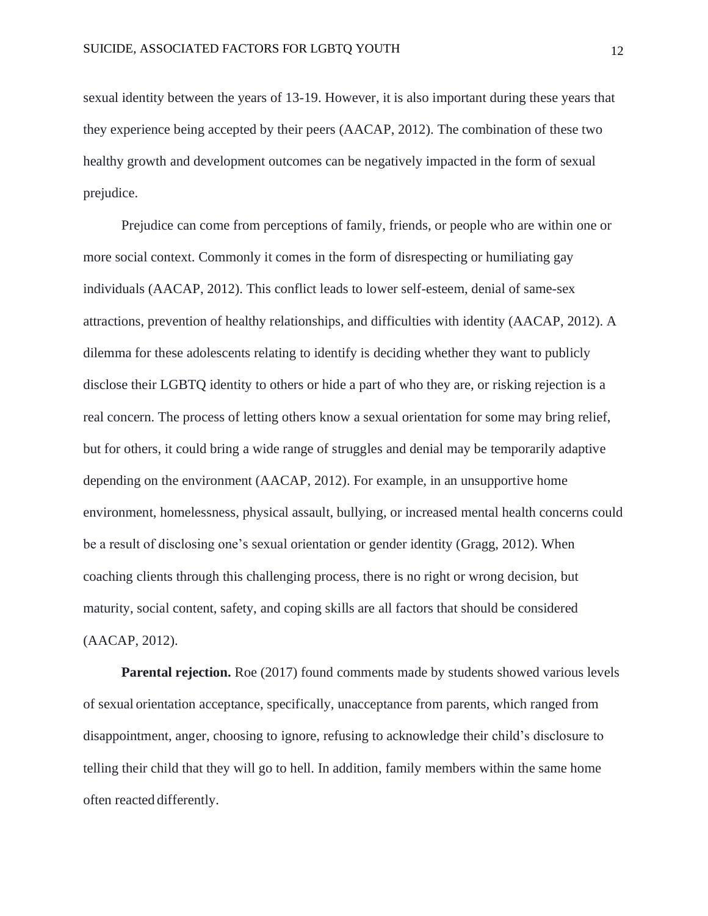sexual identity between the years of 13-19. However, it is also important during these years that they experience being accepted by their peers (AACAP, 2012). The combination of these two healthy growth and development outcomes can be negatively impacted in the form of sexual prejudice.

Prejudice can come from perceptions of family, friends, or people who are within one or more social context. Commonly it comes in the form of disrespecting or humiliating gay individuals (AACAP, 2012). This conflict leads to lower self-esteem, denial of same-sex attractions, prevention of healthy relationships, and difficulties with identity (AACAP, 2012). A dilemma for these adolescents relating to identify is deciding whether they want to publicly disclose their LGBTQ identity to others or hide a part of who they are, or risking rejection is a real concern. The process of letting others know a sexual orientation for some may bring relief, but for others, it could bring a wide range of struggles and denial may be temporarily adaptive depending on the environment (AACAP, 2012). For example, in an unsupportive home environment, homelessness, physical assault, bullying, or increased mental health concerns could be a result of disclosing one's sexual orientation or gender identity (Gragg, 2012). When coaching clients through this challenging process, there is no right or wrong decision, but maturity, social content, safety, and coping skills are all factors that should be considered (AACAP, 2012).

**Parental rejection.** Roe (2017) found comments made by students showed various levels of sexual orientation acceptance, specifically, unacceptance from parents, which ranged from disappointment, anger, choosing to ignore, refusing to acknowledge their child's disclosure to telling their child that they will go to hell. In addition, family members within the same home often reacted differently.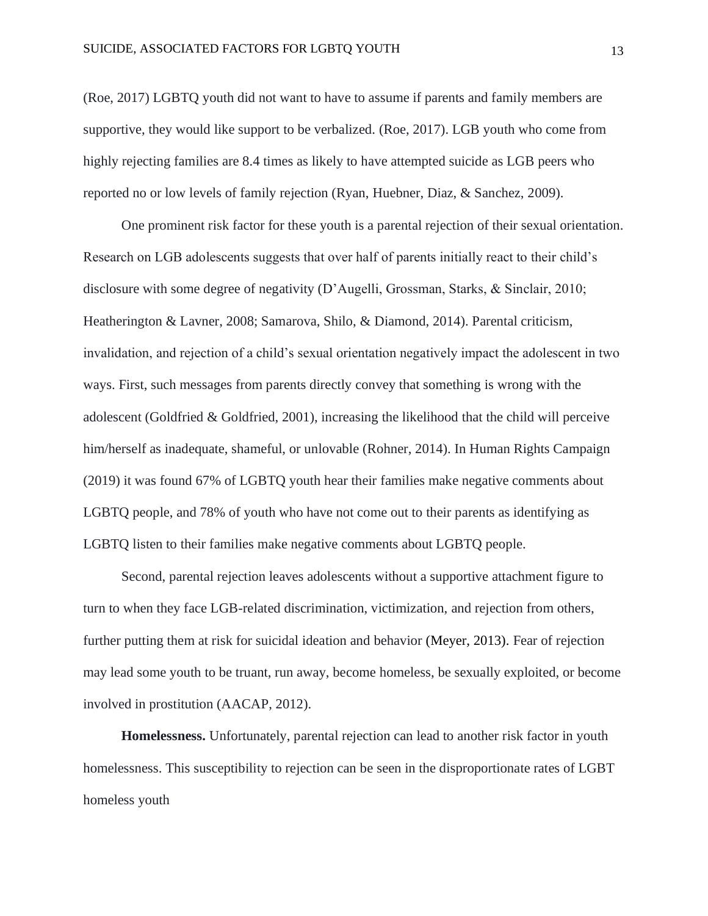(Roe, 2017) LGBTQ youth did not want to have to assume if parents and family members are supportive, they would like support to be verbalized. (Roe, 2017). LGB youth who come from highly rejecting families are 8.4 times as likely to have attempted suicide as LGB peers who reported no or low levels of family rejection (Ryan, Huebner, Diaz, & Sanchez, 2009).

One prominent risk factor for these youth is a parental rejection of their sexual orientation. Research on LGB adolescents suggests that over half of parents initially react to their child's disclosure with some degree of negativity (D'Augelli, Grossman, Starks, & Sinclair, 2010; Heatherington & Lavner, 2008; Samarova, Shilo, & Diamond, 2014). Parental criticism, invalidation, and rejection of a child's sexual orientation negatively impact the adolescent in two ways. First, such messages from parents directly convey that something is wrong with the adolescent (Goldfried & Goldfried, 2001), increasing the likelihood that the child will perceive him/herself as inadequate, shameful, or unlovable (Rohner, 2014). In Human Rights Campaign (2019) it was found 67% of LGBTQ youth hear their families make negative comments about LGBTQ people, and 78% of youth who have not come out to their parents as identifying as LGBTQ listen to their families make negative comments about LGBTQ people.

Second, parental rejection leaves adolescents without a supportive attachment figure to turn to when they face LGB-related discrimination, victimization, and rejection from others, further putting them at risk for suicidal ideation and behavior (Meyer, 2013). Fear of rejection may lead some youth to be truant, run away, become homeless, be sexually exploited, or become involved in prostitution (AACAP, 2012).

**Homelessness.** Unfortunately, parental rejection can lead to another risk factor in youth homelessness. This susceptibility to rejection can be seen in the disproportionate rates of LGBT homeless youth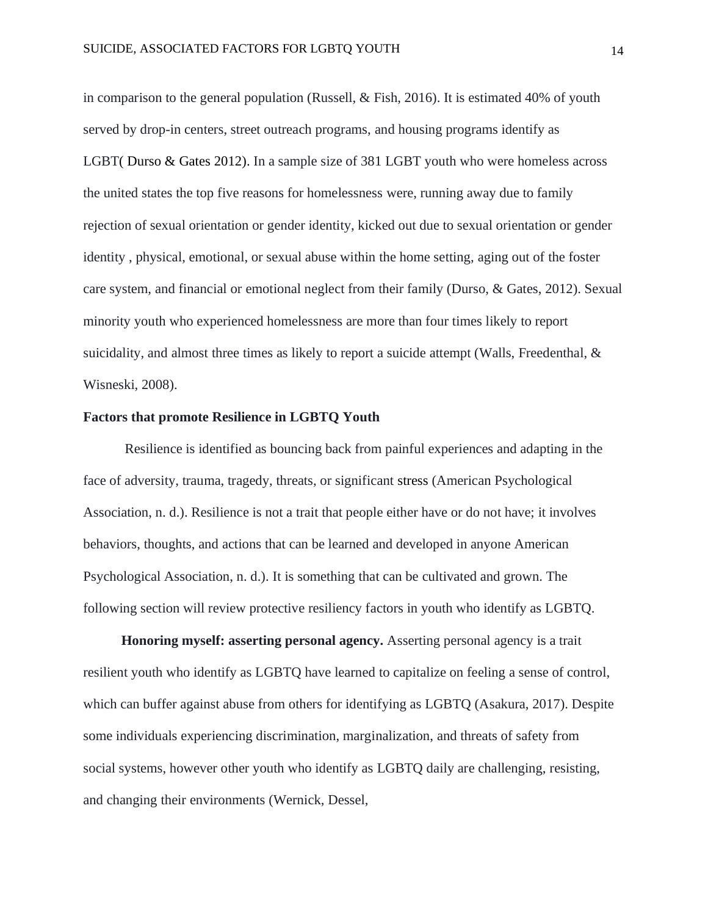in comparison to the general population (Russell, & Fish, 2016). It is estimated 40% of youth served by drop-in centers, street outreach programs, and housing programs identify as LGB[T\( Durso & Gates 2012\)](https://www.ncbi.nlm.nih.gov/pmc/articles/PMC4887282/#R36). In a sample size of 381 LGBT youth who were homeless across the united states the top five reasons for homelessness were, running away due to family rejection of sexual orientation or gender identity, kicked out due to sexual orientation or gender identity , physical, emotional, or sexual abuse within the home setting, aging out of the foster care system, and financial or emotional neglect from their family (Durso, & Gates, 2012). Sexual minority youth who experienced homelessness are more than four times likely to report suicidality, and almost three times as likely to report a suicide attempt (Walls, Freedenthal, & Wisneski, 2008).

#### **Factors that promote Resilience in LGBTQ Youth**

Resilience is identified as bouncing back from painful experiences and adapting in the face of adversity, trauma, tragedy, threats, or significant [stress \(](https://www.apa.org/topics/stress)American Psychological Association, n. d.). Resilience is not a trait that people either have or do not have; it involves behaviors, thoughts, and actions that can be learned and developed in anyone American Psychological Association, n. d.). It is something that can be cultivated and grown. The following section will review protective resiliency factors in youth who identify as LGBTQ.

**Honoring myself: asserting personal agency.** Asserting personal agency is a trait resilient youth who identify as LGBTQ have learned to capitalize on feeling a sense of control, which can buffer against abuse from others for identifying as LGBTQ (Asakura, 2017). Despite some individuals experiencing discrimination, marginalization, and threats of safety from social systems, however other youth who identify as LGBTQ daily are challenging, resisting, and changing their environments (Wernick, Dessel,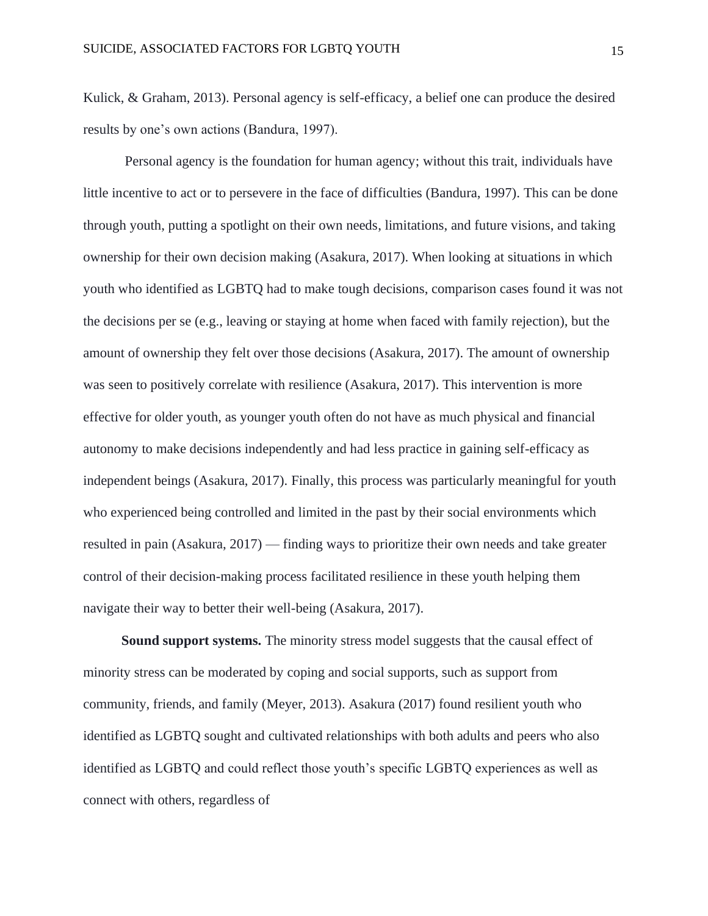Kulick, & Graham, 2013). Personal agency is self-efficacy, a belief one can produce the desired results by one's own actions (Bandura, 1997).

Personal agency is the foundation for human agency; without this trait, individuals have little incentive to act or to persevere in the face of difficulties (Bandura, 1997). This can be done through youth, putting a spotlight on their own needs, limitations, and future visions, and taking ownership for their own decision making (Asakura, 2017). When looking at situations in which youth who identified as LGBTQ had to make tough decisions, comparison cases found it was not the decisions per se (e.g., leaving or staying at home when faced with family rejection), but the amount of ownership they felt over those decisions (Asakura, 2017). The amount of ownership was seen to positively correlate with resilience (Asakura, 2017). This intervention is more effective for older youth, as younger youth often do not have as much physical and financial autonomy to make decisions independently and had less practice in gaining self-efficacy as independent beings (Asakura, 2017). Finally, this process was particularly meaningful for youth who experienced being controlled and limited in the past by their social environments which resulted in pain (Asakura, 2017) — finding ways to prioritize their own needs and take greater control of their decision-making process facilitated resilience in these youth helping them navigate their way to better their well-being (Asakura, 2017).

**Sound support systems.** The minority stress model suggests that the causal effect of minority stress can be moderated by coping and social supports, such as support from community, friends, and family (Meyer, 2013). Asakura (2017) found resilient youth who identified as LGBTQ sought and cultivated relationships with both adults and peers who also identified as LGBTQ and could reflect those youth's specific LGBTQ experiences as well as connect with others, regardless of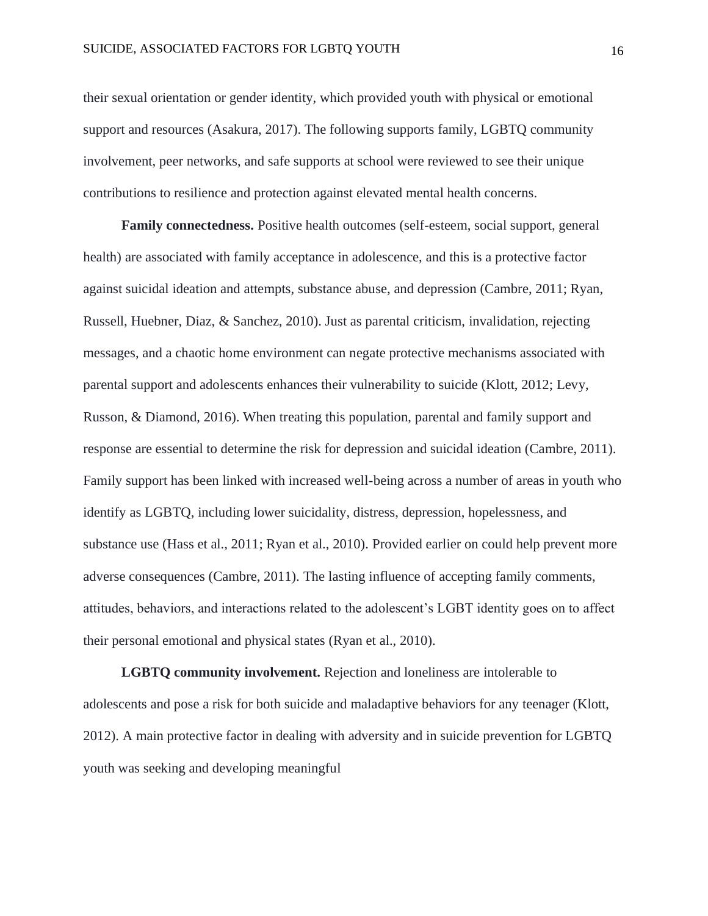their sexual orientation or gender identity, which provided youth with physical or emotional support and resources (Asakura, 2017). The following supports family, LGBTQ community involvement, peer networks, and safe supports at school were reviewed to see their unique contributions to resilience and protection against elevated mental health concerns.

**Family connectedness.** Positive health outcomes (self-esteem, social support, general health) are associated with family acceptance in adolescence, and this is a protective factor against suicidal ideation and attempts, substance abuse, and depression (Cambre, 2011; Ryan, Russell, Huebner, Diaz, & Sanchez, 2010). Just as parental criticism, invalidation, rejecting messages, and a chaotic home environment can negate protective mechanisms associated with parental support and adolescents enhances their vulnerability to suicide (Klott, 2012; Levy, Russon, & Diamond, 2016). When treating this population, parental and family support and response are essential to determine the risk for depression and suicidal ideation (Cambre, 2011). Family support has been linked with increased well-being across a number of areas in youth who identify as LGBTQ, including lower suicidality, distress, depression, hopelessness, and substance use (Hass et al., 2011; Ryan et al., 2010). Provided earlier on could help prevent more adverse consequences (Cambre, 2011). The lasting influence of accepting family comments, attitudes, behaviors, and interactions related to the adolescent's LGBT identity goes on to affect their personal emotional and physical states (Ryan et al., 2010).

**LGBTQ community involvement.** Rejection and loneliness are intolerable to adolescents and pose a risk for both suicide and maladaptive behaviors for any teenager (Klott, 2012). A main protective factor in dealing with adversity and in suicide prevention for LGBTQ youth was seeking and developing meaningful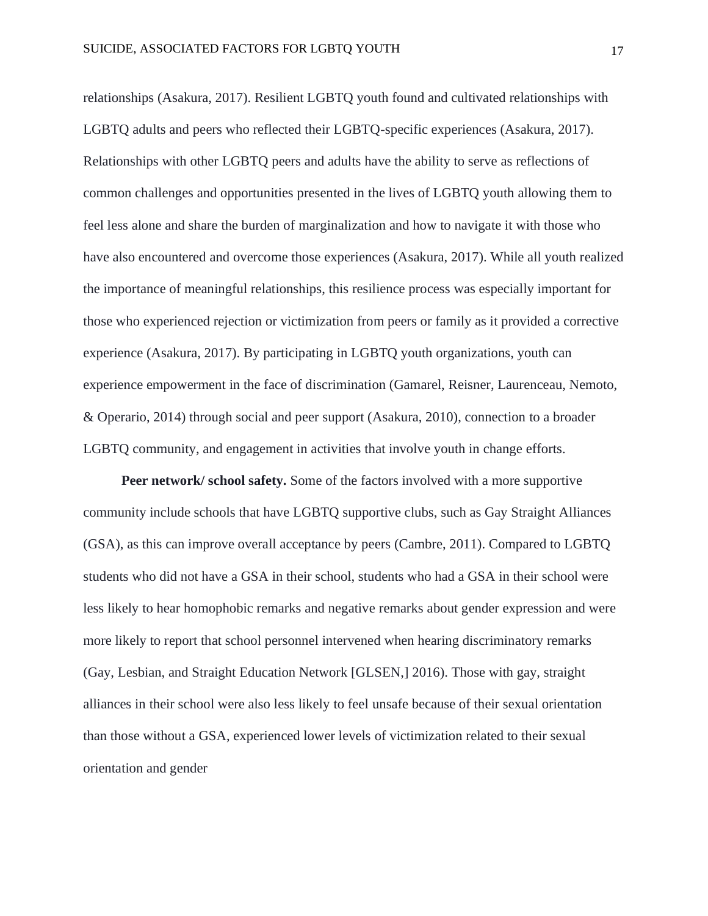relationships (Asakura, 2017). Resilient LGBTQ youth found and cultivated relationships with LGBTQ adults and peers who reflected their LGBTQ-specific experiences (Asakura, 2017). Relationships with other LGBTQ peers and adults have the ability to serve as reflections of common challenges and opportunities presented in the lives of LGBTQ youth allowing them to feel less alone and share the burden of marginalization and how to navigate it with those who have also encountered and overcome those experiences (Asakura, 2017). While all youth realized the importance of meaningful relationships, this resilience process was especially important for those who experienced rejection or victimization from peers or family as it provided a corrective experience (Asakura, 2017). By participating in LGBTQ youth organizations, youth can experience empowerment in the face of discrimination (Gamarel, Reisner, Laurenceau, Nemoto, & Operario, 2014) through social and peer support (Asakura, 2010), connection to a broader LGBTQ community, and engagement in activities that involve youth in change efforts.

**Peer network/ school safety.** Some of the factors involved with a more supportive community include schools that have LGBTQ supportive clubs, such as Gay Straight Alliances (GSA), as this can improve overall acceptance by peers (Cambre, 2011). Compared to LGBTQ students who did not have a GSA in their school, students who had a GSA in their school were less likely to hear homophobic remarks and negative remarks about gender expression and were more likely to report that school personnel intervened when hearing discriminatory remarks (Gay, Lesbian, and Straight Education Network [GLSEN,] 2016). Those with gay, straight alliances in their school were also less likely to feel unsafe because of their sexual orientation than those without a GSA, experienced lower levels of victimization related to their sexual orientation and gender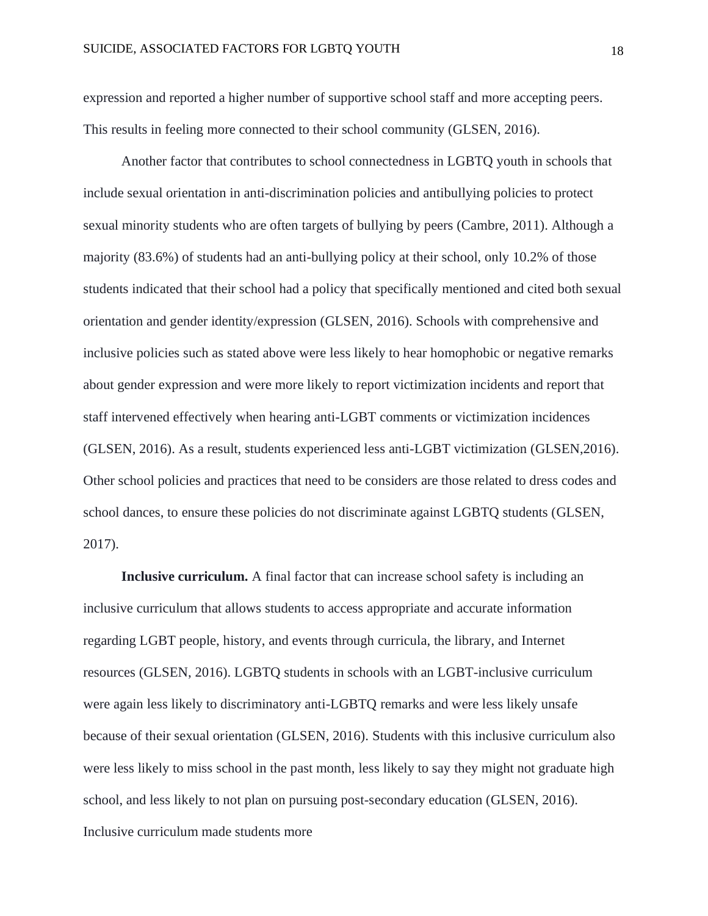expression and reported a higher number of supportive school staff and more accepting peers. This results in feeling more connected to their school community (GLSEN, 2016).

Another factor that contributes to school connectedness in LGBTQ youth in schools that include sexual orientation in anti-discrimination policies and antibullying policies to protect sexual minority students who are often targets of bullying by peers (Cambre, 2011). Although a majority (83.6%) of students had an anti-bullying policy at their school, only 10.2% of those students indicated that their school had a policy that specifically mentioned and cited both sexual orientation and gender identity/expression (GLSEN, 2016). Schools with comprehensive and inclusive policies such as stated above were less likely to hear homophobic or negative remarks about gender expression and were more likely to report victimization incidents and report that staff intervened effectively when hearing anti-LGBT comments or victimization incidences (GLSEN, 2016). As a result, students experienced less anti-LGBT victimization (GLSEN,2016). Other school policies and practices that need to be considers are those related to dress codes and school dances, to ensure these policies do not discriminate against LGBTQ students (GLSEN, 2017).

**Inclusive curriculum.** A final factor that can increase school safety is including an inclusive curriculum that allows students to access appropriate and accurate information regarding LGBT people, history, and events through curricula, the library, and Internet resources (GLSEN, 2016). LGBTQ students in schools with an LGBT-inclusive curriculum were again less likely to discriminatory anti-LGBTQ remarks and were less likely unsafe because of their sexual orientation (GLSEN, 2016). Students with this inclusive curriculum also were less likely to miss school in the past month, less likely to say they might not graduate high school, and less likely to not plan on pursuing post-secondary education (GLSEN, 2016). Inclusive curriculum made students more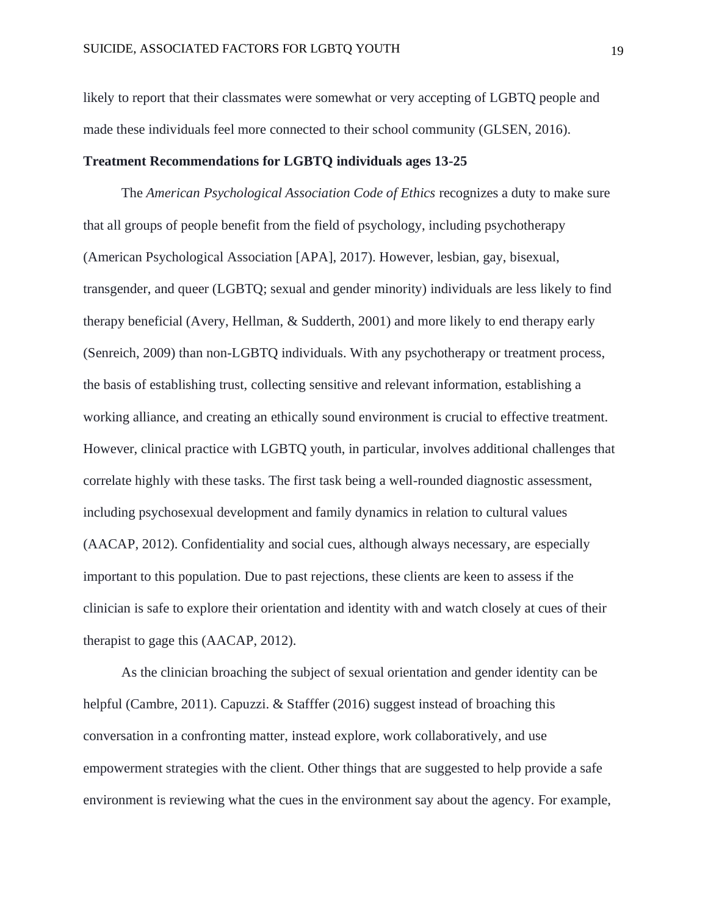likely to report that their classmates were somewhat or very accepting of LGBTQ people and made these individuals feel more connected to their school community (GLSEN, 2016).

#### **Treatment Recommendations for LGBTQ individuals ages 13-25**

The *American Psychological Association Code of Ethics* recognizes a duty to make sure that all groups of people benefit from the field of psychology, including psychotherapy (American Psychological Association [APA], 2017). However, lesbian, gay, bisexual, transgender, and queer (LGBTQ; sexual and gender minority) individuals are less likely to find therapy beneficial (Avery, Hellman, & Sudderth, 2001) and more likely to end therapy early (Senreich, 2009) than non-LGBTQ individuals. With any psychotherapy or treatment process, the basis of establishing trust, collecting sensitive and relevant information, establishing a working alliance, and creating an ethically sound environment is crucial to effective treatment. However, clinical practice with LGBTQ youth, in particular, involves additional challenges that correlate highly with these tasks. The first task being a well-rounded diagnostic assessment, including psychosexual development and family dynamics in relation to cultural values (AACAP, 2012). Confidentiality and social cues, although always necessary, are especially important to this population. Due to past rejections, these clients are keen to assess if the clinician is safe to explore their orientation and identity with and watch closely at cues of their therapist to gage this (AACAP, 2012).

As the clinician broaching the subject of sexual orientation and gender identity can be helpful (Cambre, 2011). Capuzzi. & Stafffer (2016) suggest instead of broaching this conversation in a confronting matter, instead explore, work collaboratively, and use empowerment strategies with the client. Other things that are suggested to help provide a safe environment is reviewing what the cues in the environment say about the agency. For example,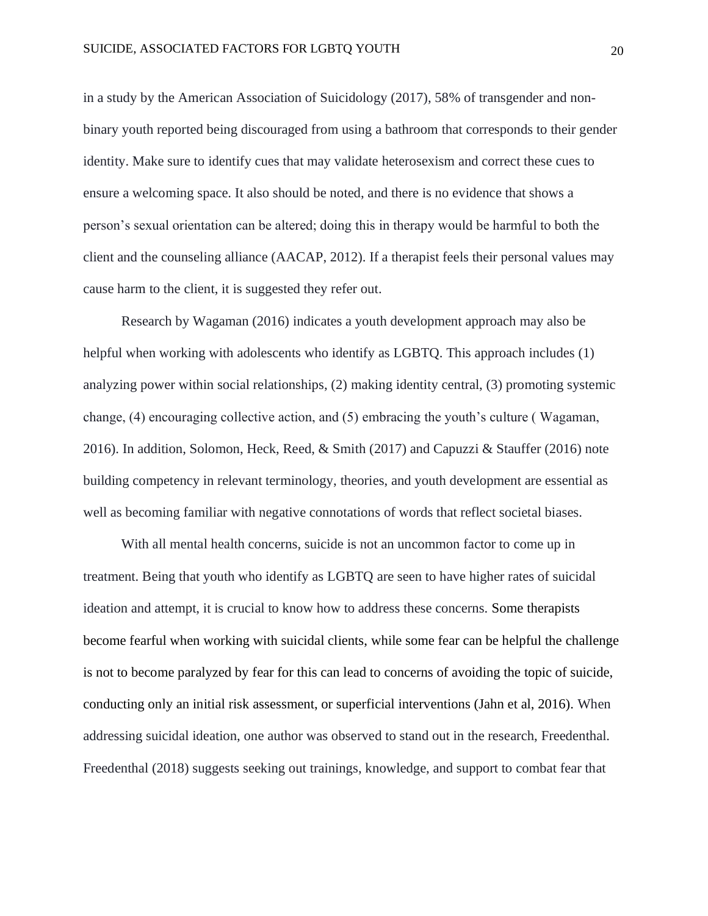in a study by the American Association of Suicidology (2017), 58% of transgender and nonbinary youth reported being discouraged from using a bathroom that corresponds to their gender identity. Make sure to identify cues that may validate heterosexism and correct these cues to ensure a welcoming space. It also should be noted, and there is no evidence that shows a person's sexual orientation can be altered; doing this in therapy would be harmful to both the client and the counseling alliance (AACAP, 2012). If a therapist feels their personal values may cause harm to the client, it is suggested they refer out.

Research by Wagaman (2016) indicates a youth development approach may also be helpful when working with adolescents who identify as LGBTQ. This approach includes (1) analyzing power within social relationships, (2) making identity central, (3) promoting systemic change, (4) encouraging collective action, and (5) embracing the youth's culture ( Wagaman, 2016). In addition, Solomon, Heck, Reed,  $\&$  Smith (2017) and Capuzzi  $\&$  Stauffer (2016) note building competency in relevant terminology, theories, and youth development are essential as well as becoming familiar with negative connotations of words that reflect societal biases.

With all mental health concerns, suicide is not an uncommon factor to come up in treatment. Being that youth who identify as LGBTQ are seen to have higher rates of suicidal ideation and attempt, it is crucial to know how to address these concerns. Some therapists become fearful when working with suicidal clients, while some fear can be helpful the challenge is not to become paralyzed by fear for this can lead to concerns of avoiding the topic of suicide, conducting only an initial risk assessment, or superficial interventions (Jahn et al, 2016). When addressing suicidal ideation, one author was observed to stand out in the research, Freedenthal. Freedenthal (2018) suggests seeking out trainings, knowledge, and support to combat fear that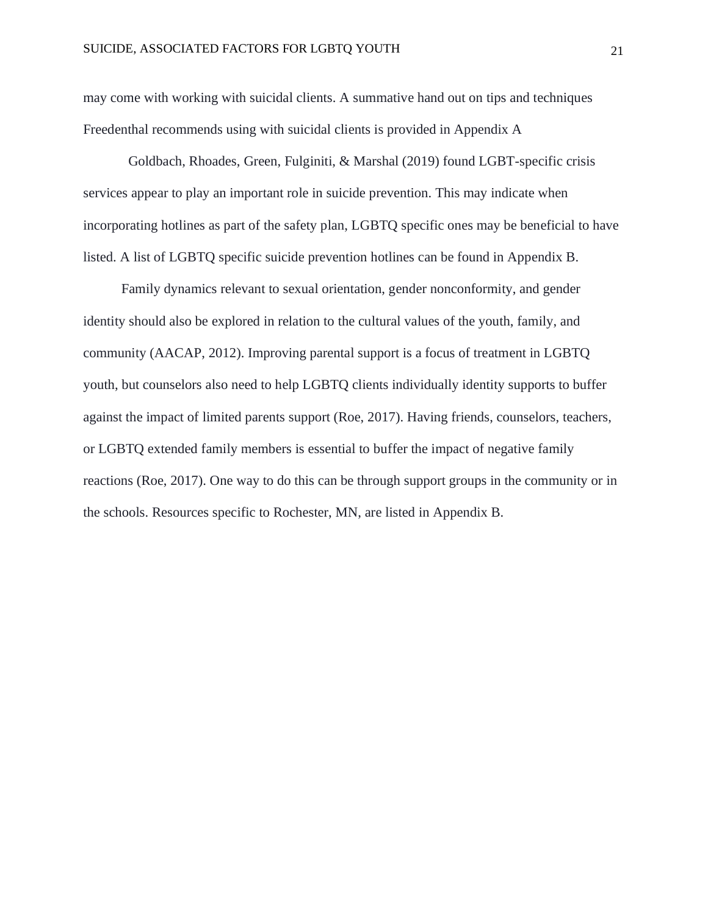may come with working with suicidal clients. A summative hand out on tips and techniques Freedenthal recommends using with suicidal clients is provided in Appendix A

Goldbach, Rhoades, Green, Fulginiti, & Marshal (2019) found LGBT-specific crisis services appear to play an important role in suicide prevention. This may indicate when incorporating hotlines as part of the safety plan, LGBTQ specific ones may be beneficial to have listed. A list of LGBTQ specific suicide prevention hotlines can be found in Appendix B.

Family dynamics relevant to sexual orientation, gender nonconformity, and gender identity should also be explored in relation to the cultural values of the youth, family, and community (AACAP, 2012). Improving parental support is a focus of treatment in LGBTQ youth, but counselors also need to help LGBTQ clients individually identity supports to buffer against the impact of limited parents support (Roe, 2017). Having friends, counselors, teachers, or LGBTQ extended family members is essential to buffer the impact of negative family reactions (Roe, 2017). One way to do this can be through support groups in the community or in the schools. Resources specific to Rochester, MN, are listed in Appendix B.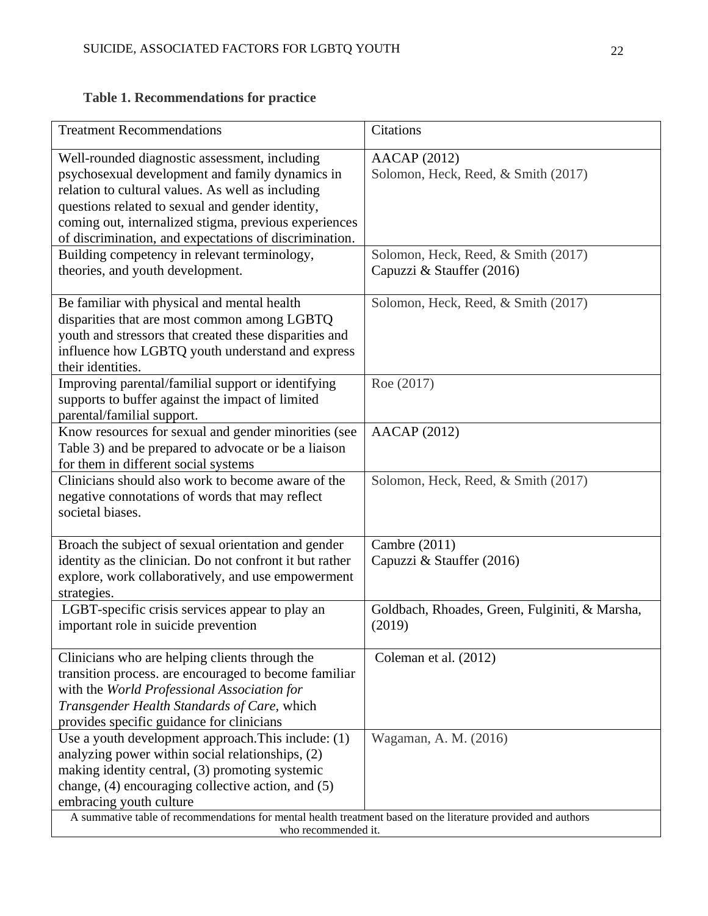# **Table 1. Recommendations for practice**

| <b>Treatment Recommendations</b>                                                                                                                                                                                                                                                                                                                             | Citations                                                        |  |
|--------------------------------------------------------------------------------------------------------------------------------------------------------------------------------------------------------------------------------------------------------------------------------------------------------------------------------------------------------------|------------------------------------------------------------------|--|
| Well-rounded diagnostic assessment, including<br>psychosexual development and family dynamics in<br>relation to cultural values. As well as including<br>questions related to sexual and gender identity,<br>coming out, internalized stigma, previous experiences<br>of discrimination, and expectations of discrimination.                                 | <b>AACAP</b> (2012)<br>Solomon, Heck, Reed, & Smith (2017)       |  |
| Building competency in relevant terminology,<br>theories, and youth development.                                                                                                                                                                                                                                                                             | Solomon, Heck, Reed, & Smith (2017)<br>Capuzzi & Stauffer (2016) |  |
| Be familiar with physical and mental health<br>disparities that are most common among LGBTQ<br>youth and stressors that created these disparities and<br>influence how LGBTQ youth understand and express<br>their identities.                                                                                                                               | Solomon, Heck, Reed, & Smith (2017)                              |  |
| Improving parental/familial support or identifying<br>supports to buffer against the impact of limited<br>parental/familial support.                                                                                                                                                                                                                         | Roe (2017)                                                       |  |
| Know resources for sexual and gender minorities (see<br>Table 3) and be prepared to advocate or be a liaison<br>for them in different social systems                                                                                                                                                                                                         | <b>AACAP</b> (2012)                                              |  |
| Clinicians should also work to become aware of the<br>negative connotations of words that may reflect<br>societal biases.                                                                                                                                                                                                                                    | Solomon, Heck, Reed, & Smith (2017)                              |  |
| Broach the subject of sexual orientation and gender<br>identity as the clinician. Do not confront it but rather<br>explore, work collaboratively, and use empowerment<br>strategies.                                                                                                                                                                         | Cambre (2011)<br>Capuzzi & Stauffer (2016)                       |  |
| LGBT-specific crisis services appear to play an<br>important role in suicide prevention                                                                                                                                                                                                                                                                      | Goldbach, Rhoades, Green, Fulginiti, & Marsha,<br>(2019)         |  |
| Clinicians who are helping clients through the<br>transition process, are encouraged to become familiar<br>with the World Professional Association for<br>Transgender Health Standards of Care, which<br>provides specific guidance for clinicians                                                                                                           | Coleman et al. (2012)                                            |  |
| Use a youth development approach. This include: (1)<br>analyzing power within social relationships, (2)<br>making identity central, (3) promoting systemic<br>change, (4) encouraging collective action, and (5)<br>embracing youth culture<br>A summative table of recommendations for mental health treatment based on the literature provided and authors | Wagaman, A. M. (2016)                                            |  |
| who recommended it.                                                                                                                                                                                                                                                                                                                                          |                                                                  |  |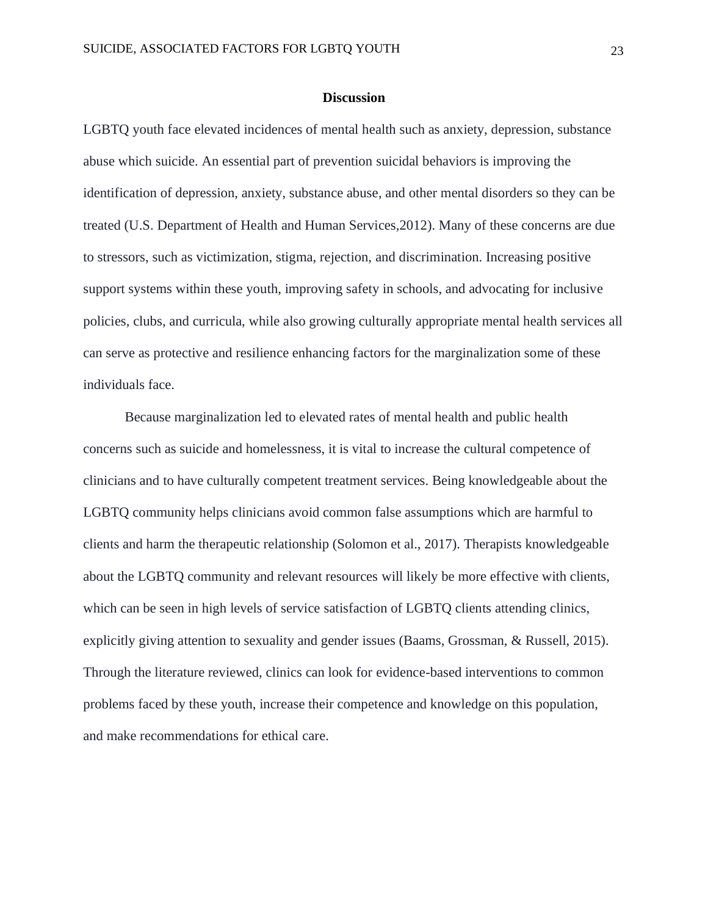#### **Discussion**

LGBTQ youth face elevated incidences of mental health such as anxiety, depression, substance abuse which suicide. An essential part of prevention suicidal behaviors is improving the identification of depression, anxiety, substance abuse, and other mental disorders so they can be treated (U.S. Department of Health and Human Services,2012). Many of these concerns are due to stressors, such as victimization, stigma, rejection, and discrimination. Increasing positive support systems within these youth, improving safety in schools, and advocating for inclusive policies, clubs, and curricula, while also growing culturally appropriate mental health services all can serve as protective and resilience enhancing factors for the marginalization some of these individuals face.

Because marginalization led to elevated rates of mental health and public health concerns such as suicide and homelessness, it is vital to increase the cultural competence of clinicians and to have culturally competent treatment services. Being knowledgeable about the LGBTQ community helps clinicians avoid common false assumptions which are harmful to clients and harm the therapeutic relationship (Solomon et al., 2017). Therapists knowledgeable about the LGBTQ community and relevant resources will likely be more effective with clients, which can be seen in high levels of service satisfaction of LGBTQ clients attending clinics, explicitly giving attention to sexuality and gender issues (Baams, Grossman, & Russell, 2015). Through the literature reviewed, clinics can look for evidence-based interventions to common problems faced by these youth, increase their competence and knowledge on this population, and make recommendations for ethical care.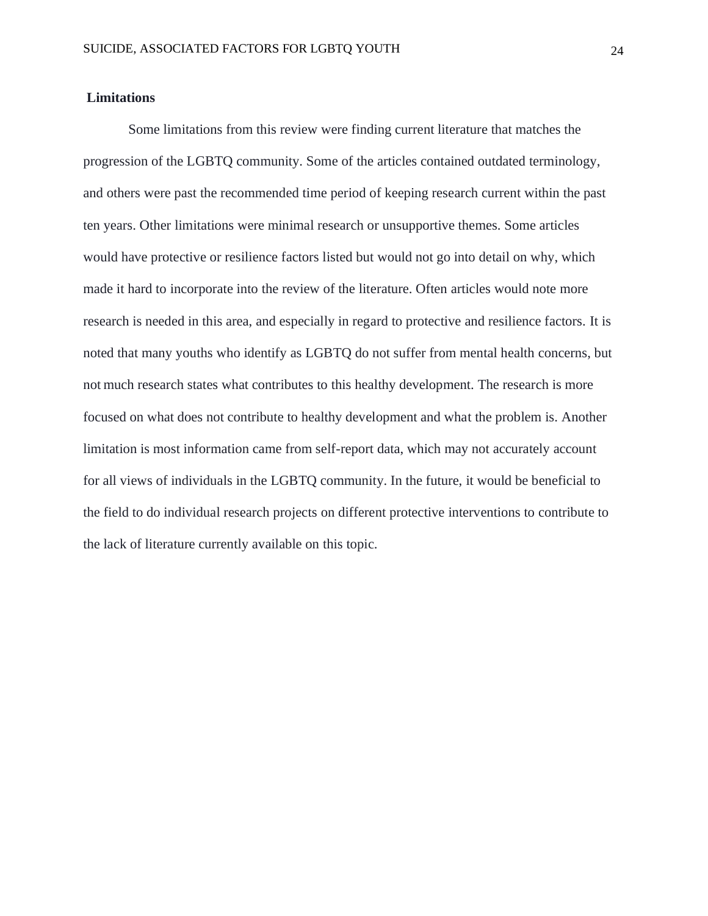#### **Limitations**

Some limitations from this review were finding current literature that matches the progression of the LGBTQ community. Some of the articles contained outdated terminology, and others were past the recommended time period of keeping research current within the past ten years. Other limitations were minimal research or unsupportive themes. Some articles would have protective or resilience factors listed but would not go into detail on why, which made it hard to incorporate into the review of the literature. Often articles would note more research is needed in this area, and especially in regard to protective and resilience factors. It is noted that many youths who identify as LGBTQ do not suffer from mental health concerns, but not much research states what contributes to this healthy development. The research is more focused on what does not contribute to healthy development and what the problem is. Another limitation is most information came from self-report data, which may not accurately account for all views of individuals in the LGBTQ community. In the future, it would be beneficial to the field to do individual research projects on different protective interventions to contribute to the lack of literature currently available on this topic.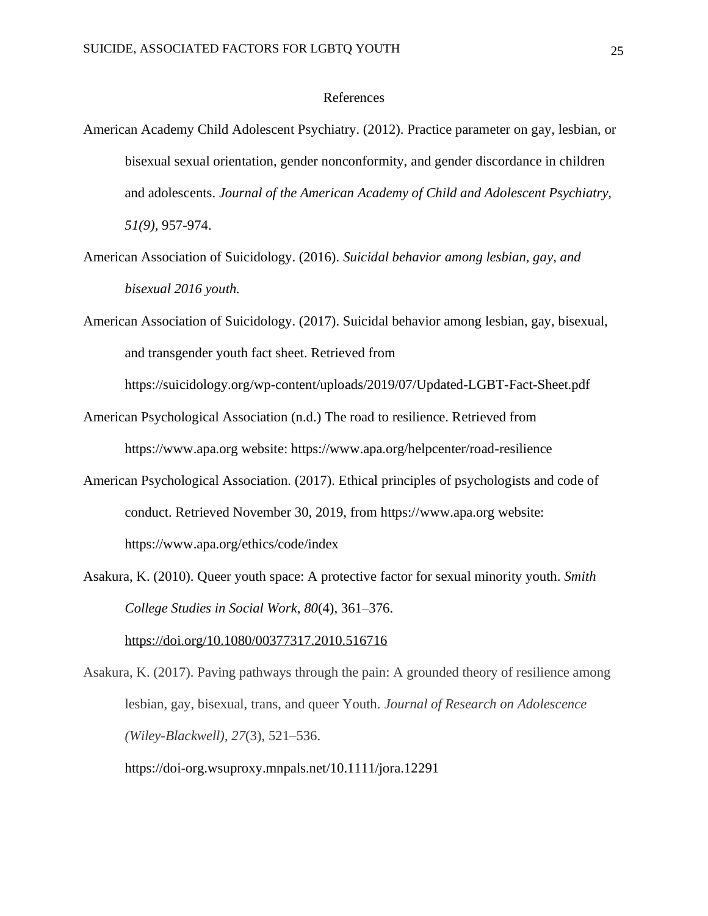#### References

- American Academy Child Adolescent Psychiatry. (2012). Practice parameter on gay, lesbian, or bisexual sexual orientation, gender nonconformity, and gender discordance in children and adolescents. *Journal of the American Academy of Child and Adolescent Psychiatry, 51(9),* 957-974.
- American Association of Suicidology. (2016). *Suicidal behavior among lesbian, gay, and bisexual 2016 youth.*
- American Association of Suicidology. (2017). Suicidal behavior among lesbian, gay, bisexual, and transgender youth fact sheet. Retrieved from

<https://suicidology.org/wp-content/uploads/2019/07/Updated-LGBT-Fact-Sheet.pdf>

- American Psychological Association (n.d.) The road to resilience. Retrieved from https:/[/www.apa.org w](http://www.apa.org/)ebsite:<https://www.apa.org/helpcenter/road-resilience>
- American Psychological Association. (2017). Ethical principles of psychologists and code of conduct. Retrieved November 30, 2019, from https:/[/www.apa.org w](http://www.apa.org/)ebsite: <https://www.apa.org/ethics/code/index>
- Asakura, K. (2010). Queer youth space: A protective factor for sexual minority youth. *Smith College Studies in Social Work*, *80*(4), 361–376.

<https://doi.org/10.1080/00377317.2010.516716>

Asakura, K. (2017). Paving pathways through the pain: A grounded theory of resilience among lesbian, gay, bisexual, trans, and queer Youth. *Journal of Research on Adolescence (Wiley-Blackwell)*, *27*(3), 521–536.

<https://doi-org.wsuproxy.mnpals.net/10.1111/jora.12291>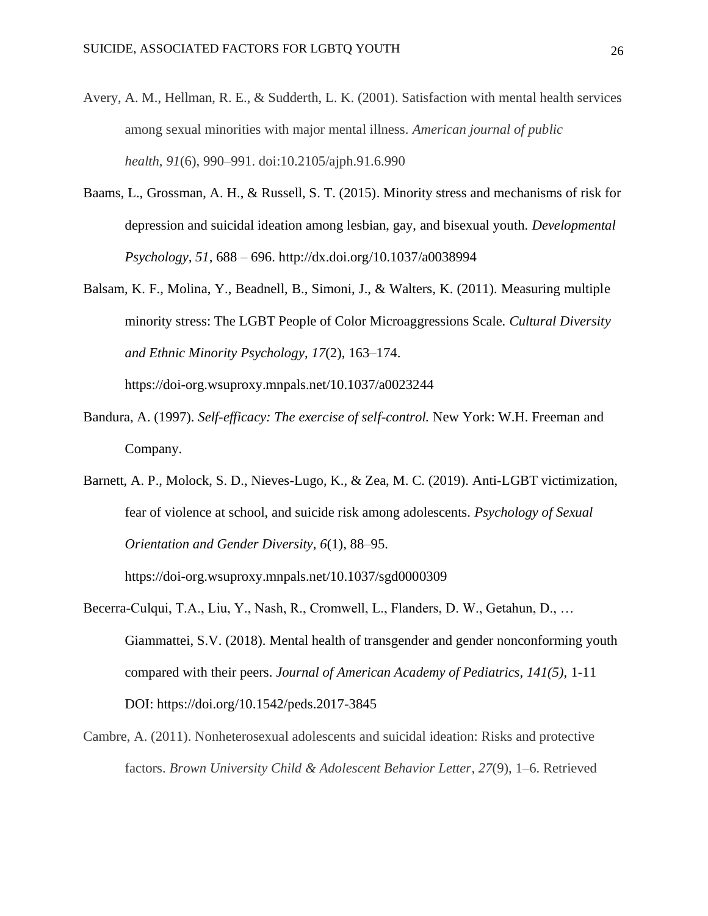- Avery, A. M., Hellman, R. E., & Sudderth, L. K. (2001). Satisfaction with mental health services among sexual minorities with major mental illness. *American journal of public health*, *91*(6), 990–991. doi:10.2105/ajph.91.6.990
- Baams, L., Grossman, A. H., & Russell, S. T. (2015). Minority stress and mechanisms of risk for depression and suicidal ideation among lesbian, gay, and bisexual youth. *Developmental Psychology, 51,* 688 – [696. http://dx.doi.org/10.1037/a0038994](http://dx.doi.org/10.1037/a0038994)
- Balsam, K. F., Molina, Y., Beadnell, B., Simoni, J., & Walters, K. (2011). Measuring multiple minority stress: The LGBT People of Color Microaggressions Scale. *Cultural Diversity and Ethnic Minority Psychology*, *17*(2), 163–174.

<https://doi-org.wsuproxy.mnpals.net/10.1037/a0023244>

- Bandura, A. (1997). *Self-efficacy: The exercise of self-control.* New York: W.H. Freeman and Company.
- Barnett, A. P., Molock, S. D., Nieves-Lugo, K., & Zea, M. C. (2019). Anti-LGBT victimization, fear of violence at school, and suicide risk among adolescents. *Psychology of Sexual Orientation and Gender Diversity*, *6*(1), 88–95.

<https://doi-org.wsuproxy.mnpals.net/10.1037/sgd0000309>

- Becerra-Culqui, T.A., Liu, Y., Nash, R., Cromwell, L., Flanders, D. W., Getahun, D., … Giammattei, S.V. (2018). Mental health of transgender and gender nonconforming youth compared with their peers. *Journal of American Academy of Pediatrics, 141(5),* 1-11 DOI: https://doi.org/10.1542/peds.2017-3845
- Cambre, A. (2011). Nonheterosexual adolescents and suicidal ideation: Risks and protective factors. *Brown University Child & Adolescent Behavior Letter*, *27*(9), 1–6. Retrieved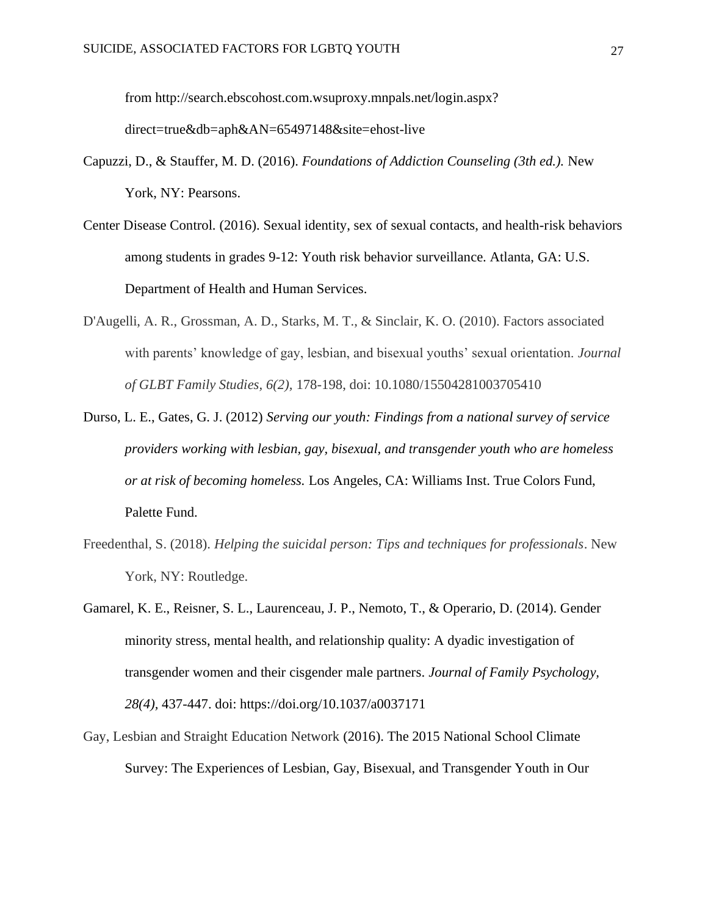from [http://search.ebscohost.com.wsuproxy.mnpals.net/login.aspx?](http://search.ebscohost.com.wsuproxy.mnpals.net/login.aspx?direct=true&db=aph&AN=65497148&site=ehost-live) [direct=true&db=aph&AN=65497148&site=ehost-live](http://search.ebscohost.com.wsuproxy.mnpals.net/login.aspx?direct=true&db=aph&AN=65497148&site=ehost-live)

- Capuzzi, D., & Stauffer, M. D. (2016). *Foundations of Addiction Counseling (3th ed.).* New York, NY: Pearsons.
- Center Disease Control. (2016). Sexual identity, sex of sexual contacts, and health-risk behaviors among students in grades 9-12: Youth risk behavior surveillance. Atlanta, GA: U.S. Department of Health and Human Services.
- D'Augelli, A. R., Grossman, A. D., Starks, M. T., & Sinclair, K. O. (2010). Factors associated with parents' knowledge of gay, lesbian, and bisexual youths' sexual orientation. *Journal of GLBT Family Studies, 6(2),* 178-198, doi: [10.1080/15504281003705410](https://doi.org/10.1080/15504281003705410)
- Durso, L. E., Gates, G. J. (2012) *Serving our youth: Findings from a national survey of service providers working with lesbian, gay, bisexual, and transgender youth who are homeless or at risk of becoming homeless.* Los Angeles, CA: Williams Inst. True Colors Fund, Palette Fund.
- Freedenthal, S. (2018). *Helping the suicidal person: Tips and techniques for professionals*. New York, NY: Routledge.
- Gamarel, K. E., Reisner, S. L., Laurenceau, J. P., Nemoto, T., & Operario, D. (2014). Gender minority stress, mental health, and relationship quality: A dyadic investigation of transgender women and their cisgender male partners. *Journal of Family Psychology, 28(4),* 437-447. doi: [https://doi.org/10.1037/a0037171](https://psycnet.apa.org/doi/10.1037/a0037171)
- Gay, Lesbian and Straight Education Network (2016). The 2015 National School Climate Survey: The Experiences of Lesbian, Gay, Bisexual, and Transgender Youth in Our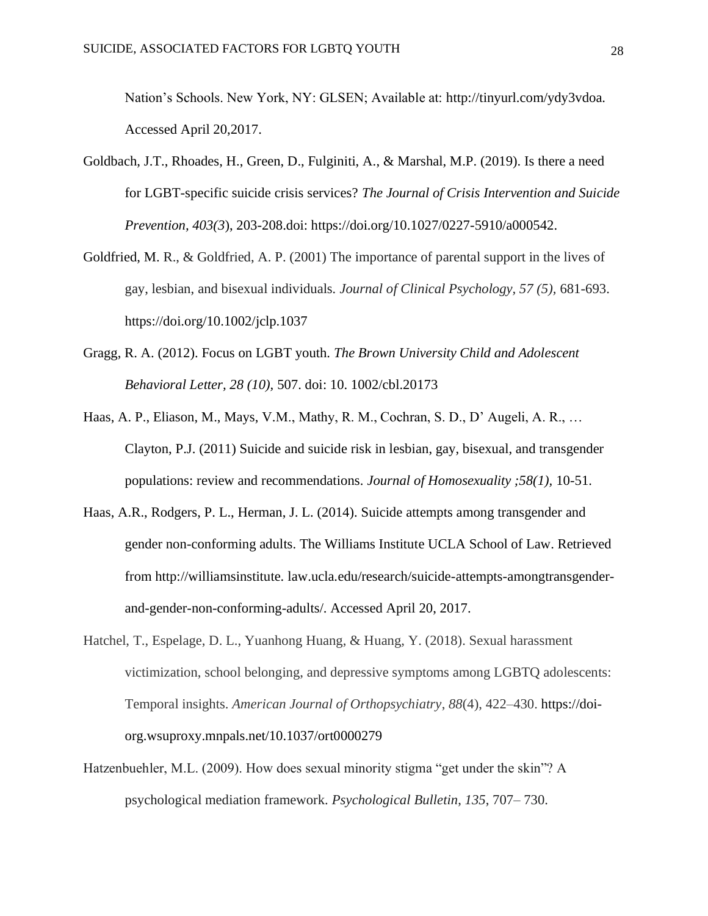Nation's Schools. New York, NY: GLSEN; Available at: [http://tinyurl.com/ydy3vdoa.](http://tinyurl.com/ydy3vdoa) Accessed April 20,2017.

- Goldbach, J.T., Rhoades, H., Green, D., Fulginiti, A., & Marshal, M.P. (2019). Is there a need for LGBT-specific suicide crisis services? *The Journal of Crisis Intervention and Suicide Prevention, 403(3*), 203-208.doi: [https://doi.org/10.1027/0227-5910/a000542.](https://doi.org/10.1027/0227-5910/a000542)
- Goldfried, M. R., & Goldfried, A. P. (2001) The importance of parental support in the lives of gay, lesbian, and bisexual individuals*. Journal of Clinical Psychology, 57 (5),* 681-693. <https://doi.org/10.1002/jclp.1037>
- Gragg, R. A. (2012). Focus on LGBT youth. *The Brown University Child and Adolescent Behavioral Letter, 28 (10),* 507. doi: 10. 1002/cbl.20173
- Haas, A. P., Eliason, M., Mays, V.M., Mathy, R. M., Cochran, S. D., D' Augeli, A. R., … Clayton, P.J. (2011) Suicide and suicide risk in lesbian, gay, bisexual, and transgender populations: review and recommendations. *Journal of Homosexuality ;58(1),* 10-51.
- Haas, A.R., Rodgers, P. L., Herman, J. L. (2014). Suicide attempts among transgender and gender non-conforming adults. The Williams Institute UCLA School of Law. Retrieved from [http://williamsinstitute. l](http://williamsinstitute/)aw.ucla.edu/research/suicide-attempts-amongtransgenderand-gender-non-conforming-adults/. Accessed April 20, 2017.
- Hatchel, T., Espelage, D. L., Yuanhong Huang, & Huang, Y. (2018). Sexual harassment victimization, school belonging, and depressive symptoms among LGBTQ adolescents: Temporal insights. *American Journal of Orthopsychiatry*, *88*(4), 422–430. [https://doi](https://doi-org.wsuproxy.mnpals.net/10.1037/ort0000279)[org.wsuproxy.mnpals.net/10.1037/ort0000279](https://doi-org.wsuproxy.mnpals.net/10.1037/ort0000279)
- Hatzenbuehler, M.L. (2009). How does sexual minority stigma "get under the skin"? A psychological mediation framework. *Psychological Bulletin*, *135*, 707– 730.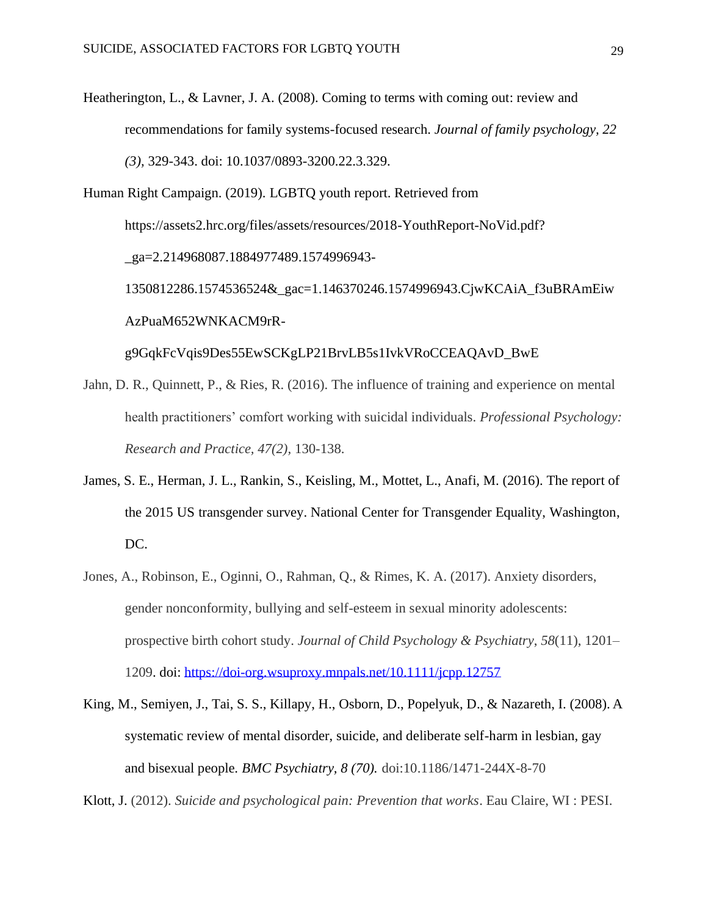- Heatherington, L., & Lavner, J. A. (2008). Coming to terms with coming out: review and recommendations for family systems-focused research. *Journal of family psychology, 22 (3),* 329-343. doi: 10.1037/0893-3200.22.3.329.
- Human Right Campaign. (2019). LGBTQ youth report. Retrieved from [https://assets2.hrc.org/files/assets/resources/2018-YouthReport-NoVid.pdf?](https://assets2.hrc.org/files/assets/resources/2018-YouthReport-NoVid.pdf?_ga=2.214968087.1884977489.1574996943-1350812286.1574536524&_gac=1.146370246.1574996943.CjwKCAiA_f3uBRAmEiwAzPuaM652WNKACM9rR-g9GqkFcVqis9Des55EwSCKgLP21BrvLB5s1IvkVRoCCEAQAvD_BwE) [\\_ga=2.214968087.1884977489.1574996943-](https://assets2.hrc.org/files/assets/resources/2018-YouthReport-NoVid.pdf?_ga=2.214968087.1884977489.1574996943-1350812286.1574536524&_gac=1.146370246.1574996943.CjwKCAiA_f3uBRAmEiwAzPuaM652WNKACM9rR-g9GqkFcVqis9Des55EwSCKgLP21BrvLB5s1IvkVRoCCEAQAvD_BwE) [1350812286.1574536524&\\_gac=1.146370246.1574996943.CjwKCAiA\\_f3uBRAmEiw](https://assets2.hrc.org/files/assets/resources/2018-YouthReport-NoVid.pdf?_ga=2.214968087.1884977489.1574996943-1350812286.1574536524&_gac=1.146370246.1574996943.CjwKCAiA_f3uBRAmEiwAzPuaM652WNKACM9rR-g9GqkFcVqis9Des55EwSCKgLP21BrvLB5s1IvkVRoCCEAQAvD_BwE)  [AzPuaM652WNKACM9rR](https://assets2.hrc.org/files/assets/resources/2018-YouthReport-NoVid.pdf?_ga=2.214968087.1884977489.1574996943-1350812286.1574536524&_gac=1.146370246.1574996943.CjwKCAiA_f3uBRAmEiwAzPuaM652WNKACM9rR-g9GqkFcVqis9Des55EwSCKgLP21BrvLB5s1IvkVRoCCEAQAvD_BwE)[g9GqkFcVqis9Des55EwSCKgLP21BrvLB5s1IvkVRoCCEAQAvD\\_BwE](https://assets2.hrc.org/files/assets/resources/2018-YouthReport-NoVid.pdf?_ga=2.214968087.1884977489.1574996943-1350812286.1574536524&_gac=1.146370246.1574996943.CjwKCAiA_f3uBRAmEiwAzPuaM652WNKACM9rR-g9GqkFcVqis9Des55EwSCKgLP21BrvLB5s1IvkVRoCCEAQAvD_BwE)
- Jahn, D. R., Quinnett, P., & Ries, R. (2016). The influence of training and experience on mental health practitioners' comfort working with suicidal individuals. *Professional Psychology: Research and Practice, 47(2),* 130-138.
- James, S. E., Herman, J. L., Rankin, S., Keisling, M., Mottet, L., Anafi, M. (2016). The report of the 2015 US transgender survey. National Center for Transgender Equality, Washington, DC.
- Jones, A., Robinson, E., Oginni, O., Rahman, Q., & Rimes, K. A. (2017). Anxiety disorders, gender nonconformity, bullying and self-esteem in sexual minority adolescents: prospective birth cohort study. *Journal of Child Psychology & Psychiatry*, *58*(11), 1201– 1209. doi:<https://doi-org.wsuproxy.mnpals.net/10.1111/jcpp.12757>
- King, M., Semiyen, J., Tai, S. S., Killapy, H., Osborn, D., Popelyuk, D., & Nazareth, I. (2008). A systematic review of mental disorder, suicide, and deliberate self-harm in lesbian, gay and bisexual people. *BMC Psychiatry, 8 (70).* doi:10.1186/1471-244X-8-70

Klott, J. (2012). *Suicide and psychological pain: Prevention that works*. Eau Claire, WI : PESI.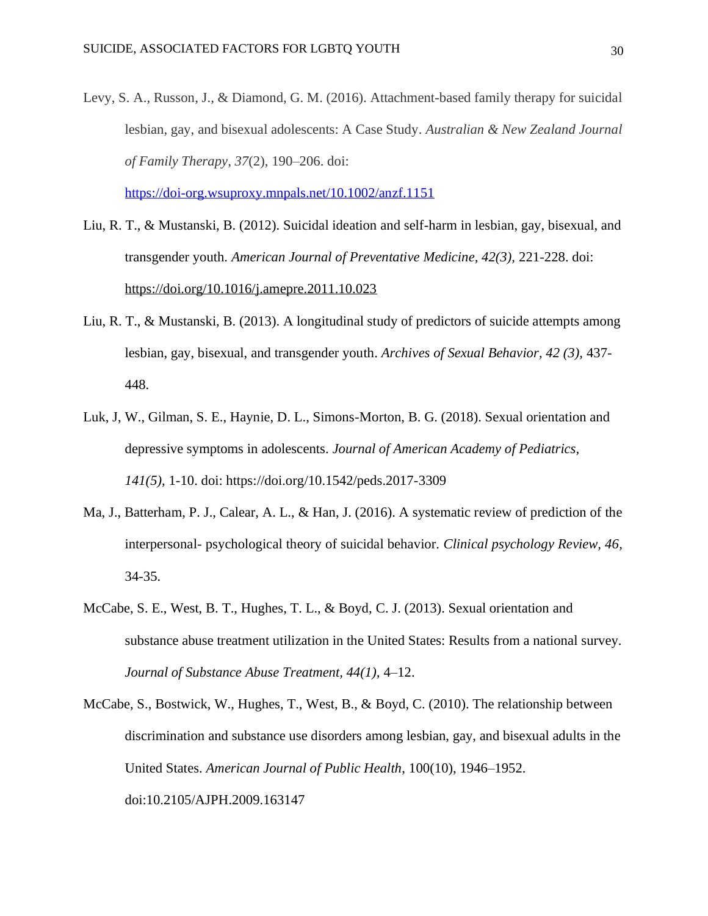Levy, S. A., Russon, J., & Diamond, G. M. (2016). Attachment-based family therapy for suicidal lesbian, gay, and bisexual adolescents: A Case Study. *Australian & New Zealand Journal of Family Therapy*, *37*(2), 190–206. doi:

<https://doi-org.wsuproxy.mnpals.net/10.1002/anzf.1151>

- Liu, R. T., & Mustanski, B. (2012). Suicidal ideation and self-harm in lesbian, gay, bisexual, and transgender youth. *American Journal of Preventative Medicine, 42(3),* 221-228. doi: <https://doi.org/10.1016/j.amepre.2011.10.023>
- Liu, R. T., & Mustanski, B. (2013). A longitudinal study of predictors of suicide attempts among lesbian, gay, bisexual, and transgender youth. *Archives of Sexual Behavior, 42 (3),* 437- 448.
- Luk, J, W., Gilman, S. E., Haynie, D. L., Simons-Morton, B. G. (2018). Sexual orientation and depressive symptoms in adolescents. *Journal of American Academy of Pediatrics, 141(5),* 1-10. doi:<https://doi.org/10.1542/peds.2017-3309>
- Ma, J., Batterham, P. J., Calear, A. L., & Han, J. (2016). A systematic review of prediction of the interpersonal- psychological theory of suicidal behavior. *Clinical psychology Review, 46,*  34-35.
- McCabe, S. E., West, B. T., Hughes, T. L., & Boyd, C. J. (2013). Sexual orientation and substance abuse treatment utilization in the United States: Results from a national survey. *Journal of Substance Abuse Treatment, 44(1),* 4–12.
- McCabe, S., Bostwick, W., Hughes, T., West, B., & Boyd, C. (2010). The relationship between discrimination and substance use disorders among lesbian, gay, and bisexual adults in the United States. *American Journal of Public Health*, 100(10), 1946–1952. doi:10.2105/AJPH.2009.163147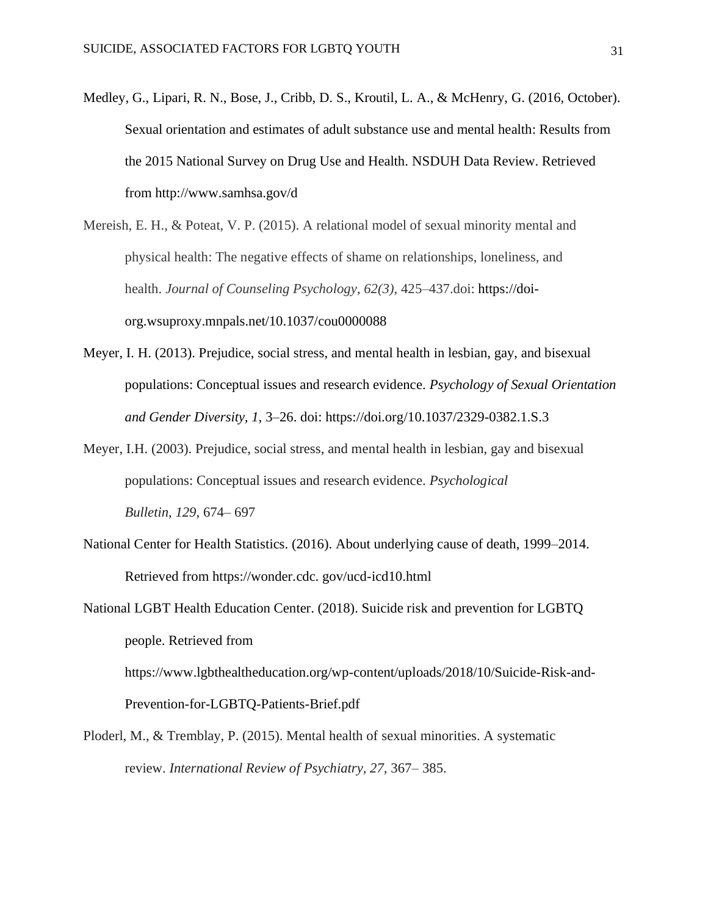Medley, G., Lipari, R. N., Bose, J., Cribb, D. S., Kroutil, L. A., & McHenry, G. (2016, October). Sexual orientation and estimates of adult substance use and mental health: Results from the 2015 National Survey on Drug Use and Health. NSDUH Data Review. Retrieved from<http://www.samhsa.gov/d>

Mereish, E. H., & Poteat, V. P. (2015). A relational model of sexual minority mental and physical health: The negative effects of shame on relationships, loneliness, and health. *Journal of Counseling Psychology*, *62(3),* 425–437.doi: [https://doi](https://doi-org.wsuproxy.mnpals.net/10.1037/cou0000088)[org.wsuproxy.mnpals.net/10.1037/cou0000088](https://doi-org.wsuproxy.mnpals.net/10.1037/cou0000088)

- Meyer, I. H. (2013). Prejudice, social stress, and mental health in lesbian, gay, and bisexual populations: Conceptual issues and research evidence. *Psychology of Sexual Orientation and Gender Diversity, 1,* 3–26. doi: https://doi.org/10.1037/2329-0382.1.S.3
- Meyer, I.H. (2003). Prejudice, social stress, and mental health in lesbian, gay and bisexual populations: Conceptual issues and research evidence. *Psychological Bulletin*, *129*, 674– 697
- National Center for Health Statistics. (2016). About underlying cause of death, 1999–2014. Retrieved from https://wonder.cdc. gov/ucd-icd10.html
- National LGBT Health Education Center. (2018). Suicide risk and prevention for LGBTQ people. Retrieved from [https://www.lgbthealtheducation.org/wp-content/uploads/2018/10/Suicide-Risk-and-](https://www.lgbthealtheducation.org/wp-content/uploads/2018/10/Suicide-Risk-and-Prevention-for-LGBTQ-Patients-Brief.pdf)[Prevention-for-LGBTQ-Patients-Brief.pdf](https://www.lgbthealtheducation.org/wp-content/uploads/2018/10/Suicide-Risk-and-Prevention-for-LGBTQ-Patients-Brief.pdf)
- Ploderl, M., & Tremblay, P. (2015). Mental health of sexual minorities. A systematic review. *International Review of Psychiatry, 27,* 367– 385.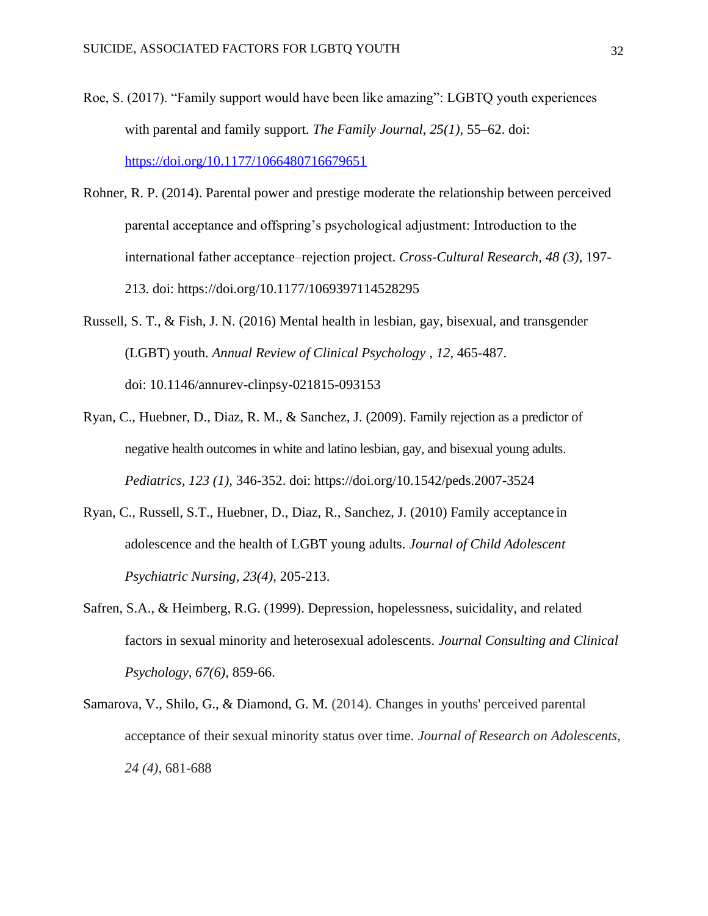- Roe, S. (2017). "Family support would have been like amazing": LGBTQ youth experiences with parental and family support. *The Family Journal*, *25(1),* 55–62. doi: <https://doi.org/10.1177/1066480716679651>
- Rohner, R. P. (2014). Parental power and prestige moderate the relationship between perceived parental acceptance and offspring's psychological adjustment: Introduction to the international father acceptance–rejection project. *Cross-Cultural Research, 48 (3),* 197- 213. doi: [https://doi.org/10.1177/1069397114528295](https://doi.org/10.1177%2F1069397114528295)
- Russell, S. T., & Fish, J. N. (2016) Mental health in lesbian, gay, bisexual, and transgender (LGBT) youth. *[Annual Review of Clinical Psychology ,](https://www.annualreviews.org/journal/clinpsy) 12,* 465-487. doi: [10.1146/annurev-clinpsy-021815-093153](https://dx.doi.org/10.1146%2Fannurev-clinpsy-021815-093153)
- Ryan, C., Huebner, D., Diaz, R. M., & Sanchez, J. (2009). Family rejection as a predictor of negative health outcomes in white and latino lesbian, gay, and bisexual young adults. *Pediatrics, 123 (1),* 346-352. doi:<https://doi.org/10.1542/peds.2007-3524>
- Ryan, C., Russell, S.T., Huebner, D., Diaz, R., Sanchez, J. (2010) Family acceptance in adolescence and the health of LGBT young adults. *Journal of Child Adolescent Psychiatric Nursing, 23(4),* 205-213.
- Safren, S.A., & Heimberg, R.G. (1999). Depression, hopelessness, suicidality, and related factors in sexual minority and heterosexual adolescents. *Journal Consulting and Clinical Psychology, 67(6),* 859-66.
- Samarova, V., Shilo, G., & Diamond, G. M. (2014). Changes in youths' perceived parental acceptance of their sexual minority status over time. *Journal of Research on Adolescents, 24 (4),* 681-688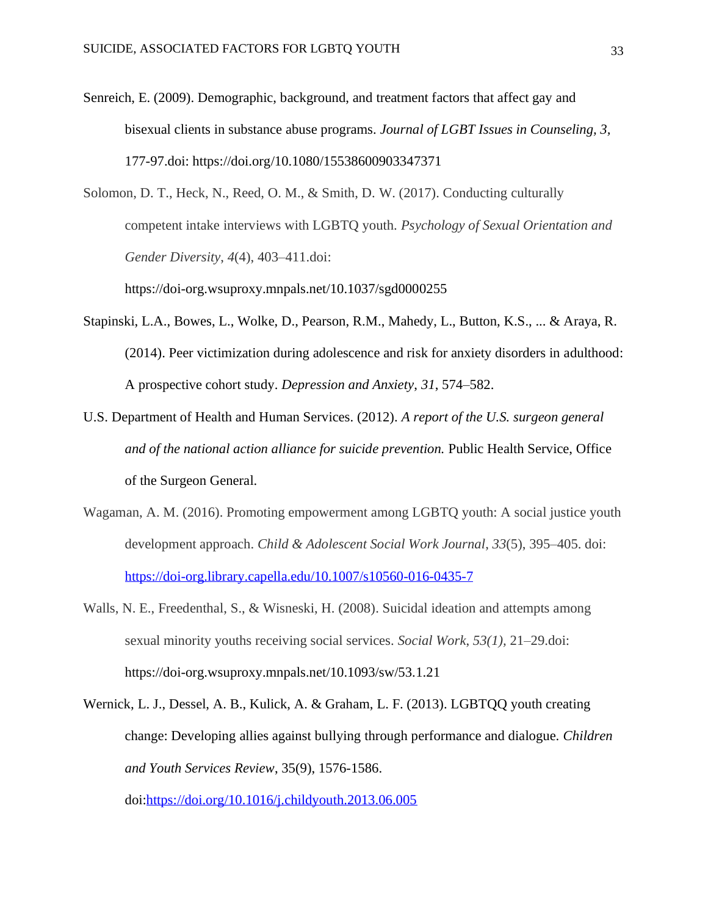Senreich, E. (2009). Demographic, background, and treatment factors that affect gay and bisexual clients in substance abuse programs. *Journal of LGBT Issues in Counseling, 3,*  177-97.doi:<https://doi.org/10.1080/15538600903347371>

Solomon, D. T., Heck, N., Reed, O. M., & Smith, D. W. (2017). Conducting culturally competent intake interviews with LGBTQ youth. *Psychology of Sexual Orientation and Gender Diversity*, *4*(4), 403–411.doi:

<https://doi-org.wsuproxy.mnpals.net/10.1037/sgd0000255>

- Stapinski, L.A., Bowes, L., Wolke, D., Pearson, R.M., Mahedy, L., Button, K.S., ... & Araya, R. (2014). Peer victimization during adolescence and risk for anxiety disorders in adulthood: A prospective cohort study. *Depression and Anxiety*, *31*, 574–582.
- U.S. Department of Health and Human Services. (2012). *A report of the U.S. surgeon general and of the national action alliance for suicide prevention.* Public Health Service, Office of the Surgeon General.
- Wagaman, A. M. (2016). Promoting empowerment among LGBTQ youth: A social justice youth development approach. *Child & Adolescent Social Work Journal*, *33*(5), 395–405. doi: <https://doi-org.library.capella.edu/10.1007/s10560-016-0435-7>
- Walls, N. E., Freedenthal, S., & Wisneski, H. (2008). Suicidal ideation and attempts among sexual minority youths receiving social services. *Social Work*, *53(1),* 21–29.doi: <https://doi-org.wsuproxy.mnpals.net/10.1093/sw/53.1.21>
- Wernick, L. J., Dessel, A. B., Kulick, A. & Graham, L. F. (2013). LGBTQQ youth creating change: Developing allies against bullying through performance and dialogue. *Children and Youth Services Review*, 35(9), 1576-1586.

doi[:https://doi.org/10.1016/j.childyouth.2013.06.005](https://doi.org/10.1016/j.childyouth.2013.06.005)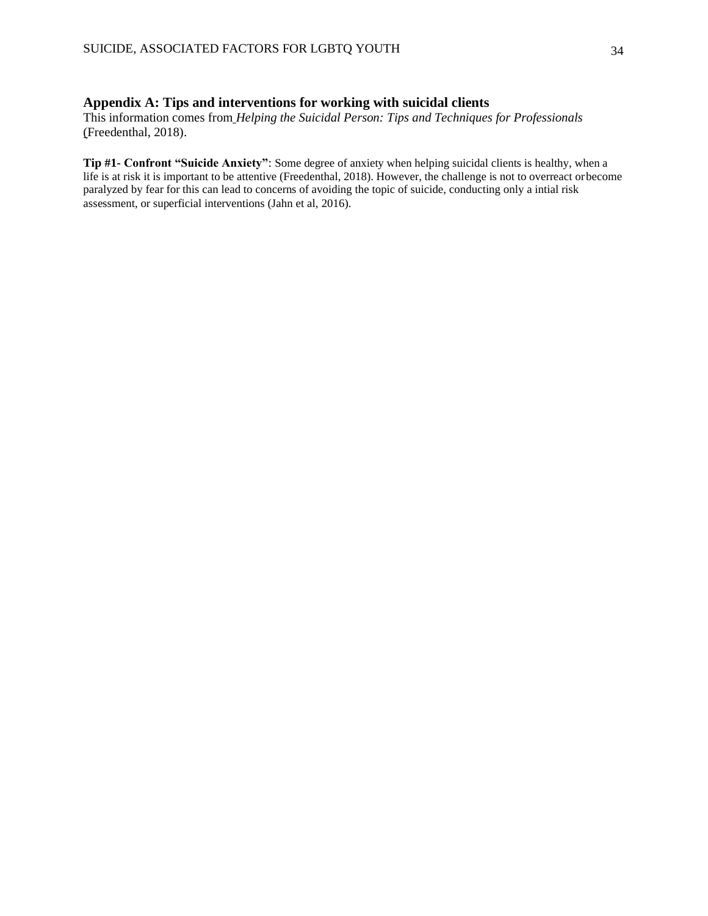#### **Appendix A: Tips and interventions for working with suicidal clients**

This information comes from *Helping the Suicidal Person: Tips and Techniques for Professionals* (Freedenthal, 2018).

**Tip #1- Confront "Suicide Anxiety"**: Some degree of anxiety when helping suicidal clients is healthy, when a life is at risk it is important to be attentive (Freedenthal, 2018). However, the challenge is not to overreact orbecome paralyzed by fear for this can lead to concerns of avoiding the topic of suicide, conducting only a intial risk assessment, or superficial interventions (Jahn et al, 2016).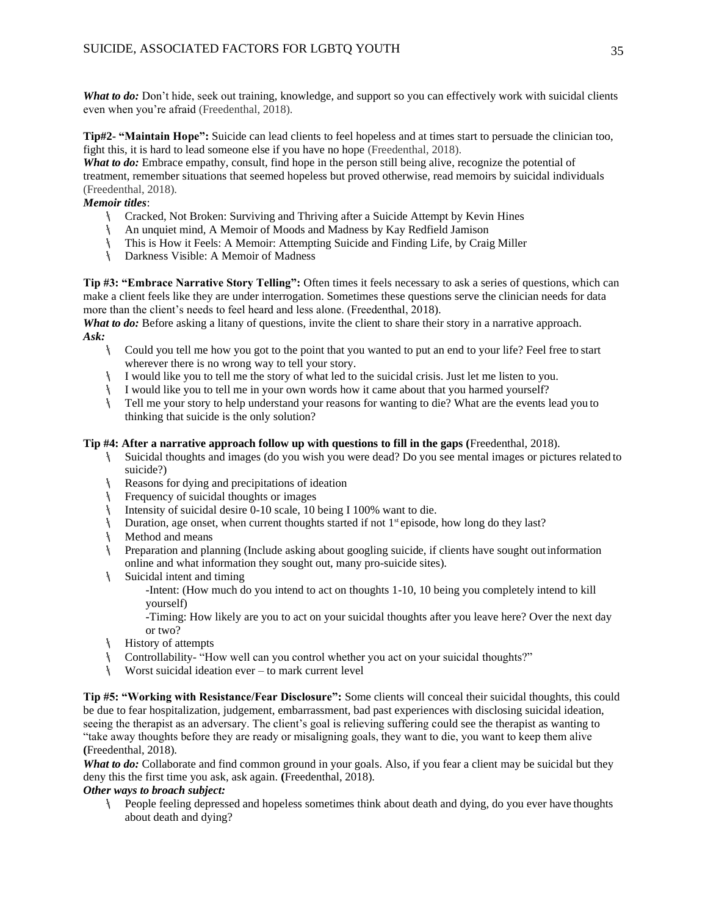*What to do:* Don't hide, seek out training, knowledge, and support so you can effectively work with suicidal clients even when you're afraid (Freedenthal, 2018).

**Tip#2- "Maintain Hope":** Suicide can lead clients to feel hopeless and at times start to persuade the clinician too, fight this, it is hard to lead someone else if you have no hope (Freedenthal, 2018).

*What to do:* Embrace empathy, consult, find hope in the person still being alive, recognize the potential of treatment, remember situations that seemed hopeless but proved otherwise, read memoirs by suicidal individuals (Freedenthal, 2018).

#### *Memoir titles*:

- Cracked, Not Broken: Surviving and Thriving after a Suicide Attempt by Kevin Hines
- An unquiet mind, A Memoir of Moods and Madness by Kay Redfield Jamison
- This is How it Feels: A Memoir: Attempting Suicide and Finding Life, by Craig Miller
- Darkness Visible: A Memoir of Madness

**Tip #3: "Embrace Narrative Story Telling":** Often times it feels necessary to ask a series of questions, which can make a client feels like they are under interrogation. Sometimes these questions serve the clinician needs for data more than the client's needs to feel heard and less alone. (Freedenthal, 2018).

*What to do:* Before asking a litany of questions, invite the client to share their story in a narrative approach. *Ask:*

- Could you tell me how you got to the point that you wanted to put an end to your life? Feel free to start wherever there is no wrong way to tell your story.
- I would like you to tell me the story of what led to the suicidal crisis. Just let me listen to you.
- I would like you to tell me in your own words how it came about that you harmed yourself?
- Tell me your story to help understand your reasons for wanting to die? What are the events lead you to thinking that suicide is the only solution?

#### **Tip #4: After a narrative approach follow up with questions to fill in the gaps (**Freedenthal, 2018).

- Suicidal thoughts and images (do you wish you were dead? Do you see mental images or pictures related to suicide?)
- Reasons for dying and precipitations of ideation
- Frequency of suicidal thoughts or images
- Intensity of suicidal desire 0-10 scale, 10 being I 100% want to die.
- It Duration, age onset, when current thoughts started if not  $1^{st}$  episode, how long do they last?
- **Nethod and means**
- Preparation and planning (Include asking about googling suicide, if clients have sought out information online and what information they sought out, many pro-suicide sites).
- Suicidal intent and timing

-Intent: (How much do you intend to act on thoughts 1-10, 10 being you completely intend to kill yourself)

-Timing: How likely are you to act on your suicidal thoughts after you leave here? Over the next day or two?

- History of attempts
- Controllability- "How well can you control whether you act on your suicidal thoughts?"
- Worst suicidal ideation ever to mark current level

**Tip #5: "Working with Resistance/Fear Disclosure":** Some clients will conceal their suicidal thoughts, this could be due to fear hospitalization, judgement, embarrassment, bad past experiences with disclosing suicidal ideation, seeing the therapist as an adversary. The client's goal is relieving suffering could see the therapist as wanting to "take away thoughts before they are ready or misaligning goals, they want to die, you want to keep them alive **(**Freedenthal, 2018).

*What to do:* Collaborate and find common ground in your goals. Also, if you fear a client may be suicidal but they deny this the first time you ask, ask again. **(**Freedenthal, 2018).

#### *Other ways to broach subject:*

People feeling depressed and hopeless sometimes think about death and dying, do you ever have thoughts about death and dying?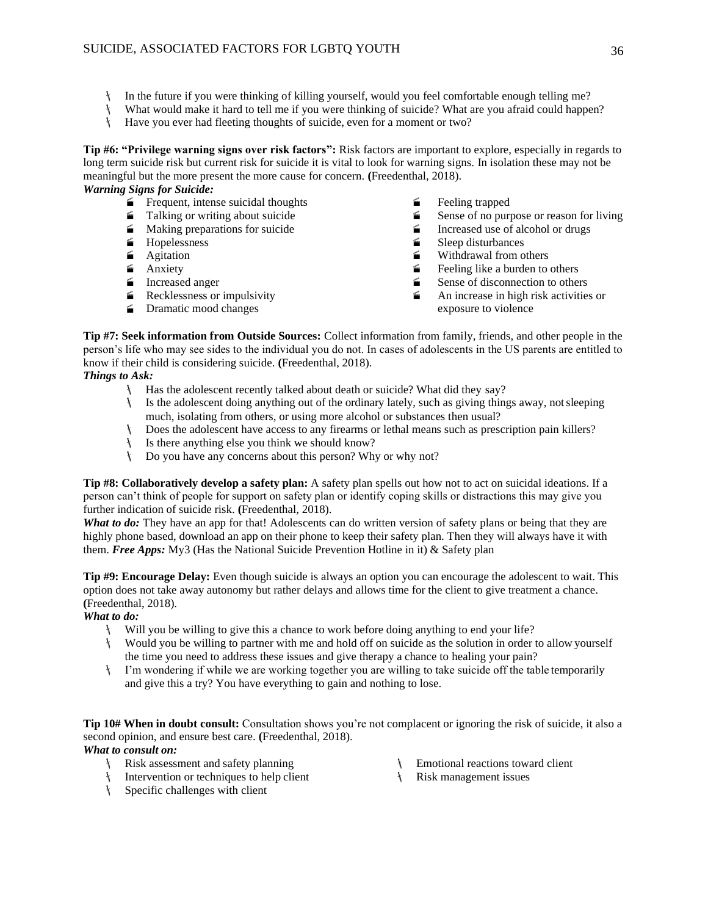- In the future if you were thinking of killing yourself, would you feel comfortable enough telling me?
- What would make it hard to tell me if you were thinking of suicide? What are you afraid could happen?
- Have you ever had fleeting thoughts of suicide, even for a moment or two?

**Tip #6: "Privilege warning signs over risk factors":** Risk factors are important to explore, especially in regards to long term suicide risk but current risk for suicide it is vital to look for warning signs. In isolation these may not be meaningful but the more present the more cause for concern. **(**Freedenthal, 2018). *Warning Signs for Suicide:*

- - Frequent, intense suicidal thoughts 
	 Feeling trapped<br>
	 Talking or writing about suicide 
	 Sense of no pur
	-
	-
	-
	-
	-
	-
	-
- 
- Sense of no purpose or reason for living<br>
Increased use of alcohol or drugs
- Making preparations for suicide Increased use of alcohol or drugs<br>■ Hopelessness Sleep disturbances
- Hopelessness Seep disturbances<br>■ Agitation Seep disturbances
- $\triangleq$  Agitation  $\triangleq$  Anxiety  $\triangleq$  Anxiety  $\triangleq$  Anxiety  $\triangleq$  Anxiety  $\triangleq$  Anxiety
	- $\blacktriangle$  Feeling like a burden to others
- $\leq$  Increased anger  $\leq$  Sense of disconnection to others
- **E** Recklessness or impulsivity **An** increase in high risk activities or Dramatic mood changes exposure to violence

**Tip #7: Seek information from Outside Sources:** Collect information from family, friends, and other people in the person's life who may see sides to the individual you do not. In cases of adolescents in the US parents are entitled to know if their child is considering suicide. **(**Freedenthal, 2018).

#### *Things to Ask:*

- Has the adolescent recently talked about death or suicide? What did they say?
- $\mathcal{F}$  Is the adolescent doing anything out of the ordinary lately, such as giving things away, not sleeping much, isolating from others, or using more alcohol or substances then usual?
- Does the adolescent have access to any firearms or lethal means such as prescription pain killers?
- Is there anything else you think we should know?
- Do you have any concerns about this person? Why or why not?

**Tip #8: Collaboratively develop a safety plan:** A safety plan spells out how not to act on suicidal ideations. If a person can't think of people for support on safety plan or identify coping skills or distractions this may give you further indication of suicide risk. **(**Freedenthal, 2018).

*What to do:* They have an app for that! Adolescents can do written version of safety plans or being that they are highly phone based, download an app on their phone to keep their safety plan. Then they will always have it with them. *Free Apps:* My3 (Has the National Suicide Prevention Hotline in it) & Safety plan

**Tip #9: Encourage Delay:** Even though suicide is always an option you can encourage the adolescent to wait. This option does not take away autonomy but rather delays and allows time for the client to give treatment a chance. **(**Freedenthal, 2018).

#### *What to do:*

- Will you be willing to give this a chance to work before doing anything to end your life?
- Would you be willing to partner with me and hold off on suicide as the solution in order to allow yourself the time you need to address these issues and give therapy a chance to healing your pain?
- I'm wondering if while we are working together you are willing to take suicide off the table temporarily and give this a try? You have everything to gain and nothing to lose.

**Tip 10# When in doubt consult:** Consultation shows you're not complacent or ignoring the risk of suicide, it also a second opinion, and ensure best care. **(**Freedenthal, 2018).

#### *What to consult on:*

- Risk assessment and safety planning
- Intervention or techniques to help client
- Specific challenges with client
- Emotional reactions toward client
- Risk management issues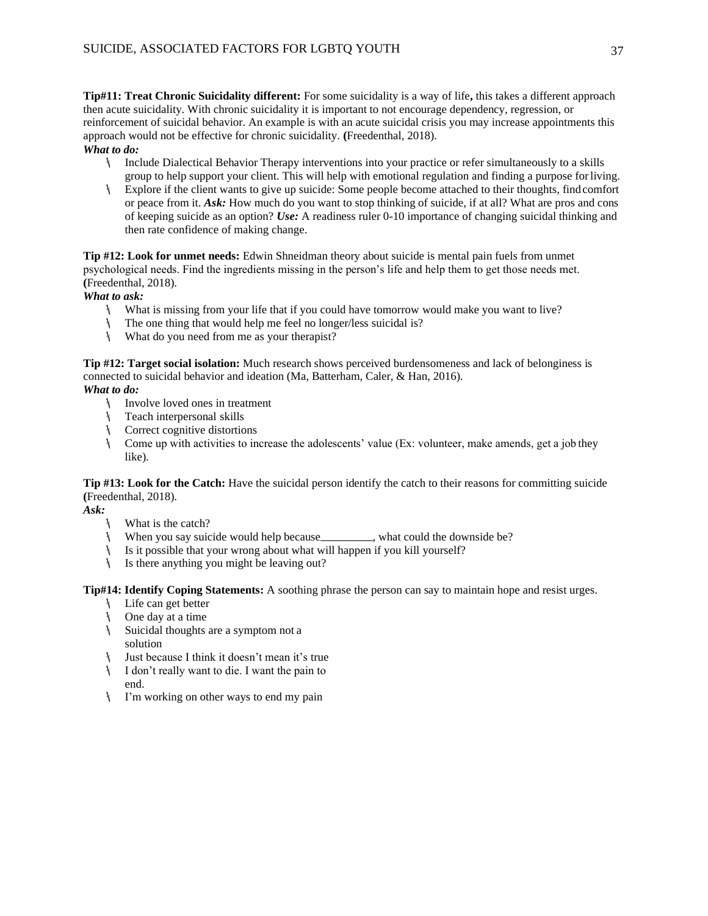**Tip#11: Treat Chronic Suicidality different:** For some suicidality is a way of life**,** this takes a different approach then acute suicidality. With chronic suicidality it is important to not encourage dependency, regression, or reinforcement of suicidal behavior. An example is with an acute suicidal crisis you may increase appointments this approach would not be effective for chronic suicidality. **(**Freedenthal, 2018).

#### *What to do:*

- Include Dialectical Behavior Therapy interventions into your practice or refer simultaneously to a skills group to help support your client. This will help with emotional regulation and finding a purpose forliving.
- Explore if the client wants to give up suicide: Some people become attached to their thoughts, find comfort or peace from it. *Ask:* How much do you want to stop thinking of suicide, if at all? What are pros and cons of keeping suicide as an option? *Use:* A readiness ruler 0-10 importance of changing suicidal thinking and then rate confidence of making change.

**Tip #12: Look for unmet needs:** Edwin Shneidman theory about suicide is mental pain fuels from unmet psychological needs. Find the ingredients missing in the person's life and help them to get those needs met. **(**Freedenthal, 2018).

#### *What to ask:*

- What is missing from your life that if you could have tomorrow would make you want to live?
- The one thing that would help me feel no longer/less suicidal is?
- What do you need from me as your therapist?

**Tip #12: Target social isolation:** Much research shows perceived burdensomeness and lack of belonginess is connected to suicidal behavior and ideation (Ma, Batterham, Caler, & Han, 2016).

#### *What to do:*

- Involve loved ones in treatment
- Teach interpersonal skills
- Correct cognitive distortions
- Come up with activities to increase the adolescents' value (Ex: volunteer, make amends, get a job they like).

**Tip #13: Look for the Catch:** Have the suicidal person identify the catch to their reasons for committing suicide **(**Freedenthal, 2018).

*Ask:*

- What is the catch?
- \ When you say suicide would help because\_\_\_\_\_\_\_\_, what could the downside be?
- Is it possible that your wrong about what will happen if you kill yourself?
- Is there anything you might be leaving out?

**Tip#14: Identify Coping Statements:** A soothing phrase the person can say to maintain hope and resist urges.

- Life can get better
- One day at a time
- Suicidal thoughts are a symptom not a solution
- Just because I think it doesn't mean it's true
- I don't really want to die. I want the pain to end.
- I'm working on other ways to end my pain